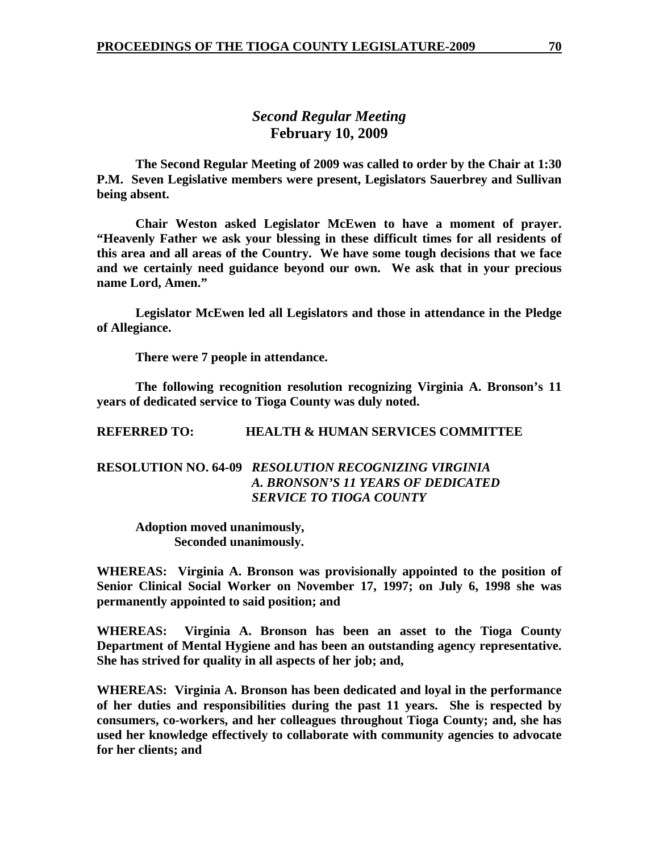# *Second Regular Meeting*  **February 10, 2009**

 **The Second Regular Meeting of 2009 was called to order by the Chair at 1:30 P.M. Seven Legislative members were present, Legislators Sauerbrey and Sullivan being absent.** 

**Chair Weston asked Legislator McEwen to have a moment of prayer. "Heavenly Father we ask your blessing in these difficult times for all residents of this area and all areas of the Country. We have some tough decisions that we face and we certainly need guidance beyond our own. We ask that in your precious name Lord, Amen."** 

 **Legislator McEwen led all Legislators and those in attendance in the Pledge of Allegiance.** 

 **There were 7 people in attendance.** 

 **The following recognition resolution recognizing Virginia A. Bronson's 11 years of dedicated service to Tioga County was duly noted.** 

**REFERRED TO: HEALTH & HUMAN SERVICES COMMITTEE** 

# **RESOLUTION NO. 64-09** *RESOLUTION RECOGNIZING VIRGINIA A. BRONSON'S 11 YEARS OF DEDICATED SERVICE TO TIOGA COUNTY*

 **Adoption moved unanimously, Seconded unanimously.** 

**WHEREAS: Virginia A. Bronson was provisionally appointed to the position of Senior Clinical Social Worker on November 17, 1997; on July 6, 1998 she was permanently appointed to said position; and** 

**WHEREAS: Virginia A. Bronson has been an asset to the Tioga County Department of Mental Hygiene and has been an outstanding agency representative. She has strived for quality in all aspects of her job; and,** 

**WHEREAS: Virginia A. Bronson has been dedicated and loyal in the performance of her duties and responsibilities during the past 11 years. She is respected by consumers, co-workers, and her colleagues throughout Tioga County; and, she has used her knowledge effectively to collaborate with community agencies to advocate for her clients; and**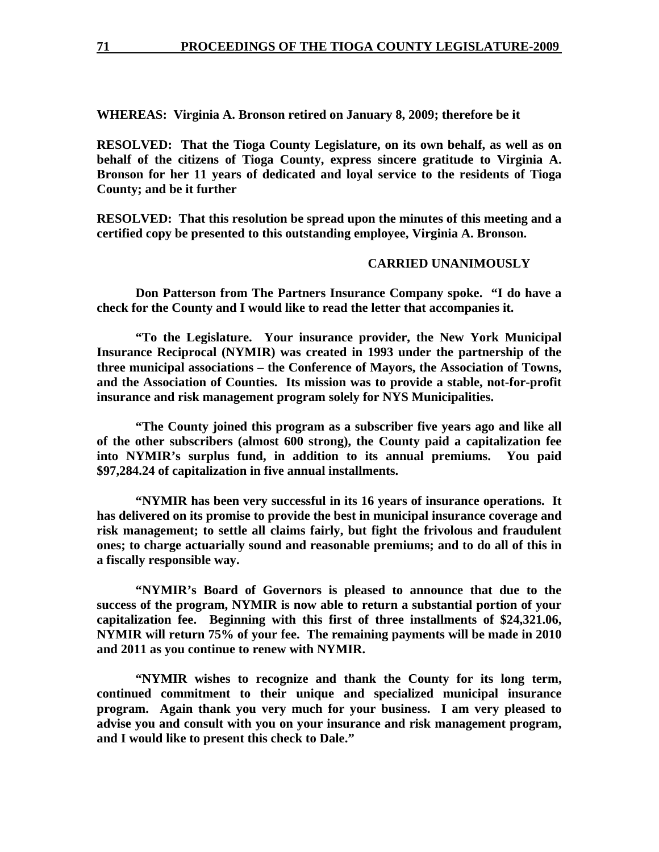**WHEREAS: Virginia A. Bronson retired on January 8, 2009; therefore be it** 

**RESOLVED: That the Tioga County Legislature, on its own behalf, as well as on behalf of the citizens of Tioga County, express sincere gratitude to Virginia A. Bronson for her 11 years of dedicated and loyal service to the residents of Tioga County; and be it further** 

**RESOLVED: That this resolution be spread upon the minutes of this meeting and a certified copy be presented to this outstanding employee, Virginia A. Bronson.** 

#### **CARRIED UNANIMOUSLY**

 **Don Patterson from The Partners Insurance Company spoke. "I do have a check for the County and I would like to read the letter that accompanies it.** 

 **"To the Legislature. Your insurance provider, the New York Municipal Insurance Reciprocal (NYMIR) was created in 1993 under the partnership of the three municipal associations – the Conference of Mayors, the Association of Towns, and the Association of Counties. Its mission was to provide a stable, not-for-profit insurance and risk management program solely for NYS Municipalities.** 

 **"The County joined this program as a subscriber five years ago and like all of the other subscribers (almost 600 strong), the County paid a capitalization fee into NYMIR's surplus fund, in addition to its annual premiums. You paid \$97,284.24 of capitalization in five annual installments.** 

 **"NYMIR has been very successful in its 16 years of insurance operations. It has delivered on its promise to provide the best in municipal insurance coverage and risk management; to settle all claims fairly, but fight the frivolous and fraudulent ones; to charge actuarially sound and reasonable premiums; and to do all of this in a fiscally responsible way.** 

 **"NYMIR's Board of Governors is pleased to announce that due to the success of the program, NYMIR is now able to return a substantial portion of your capitalization fee. Beginning with this first of three installments of \$24,321.06, NYMIR will return 75% of your fee. The remaining payments will be made in 2010 and 2011 as you continue to renew with NYMIR.** 

 **"NYMIR wishes to recognize and thank the County for its long term, continued commitment to their unique and specialized municipal insurance program. Again thank you very much for your business. I am very pleased to advise you and consult with you on your insurance and risk management program, and I would like to present this check to Dale."**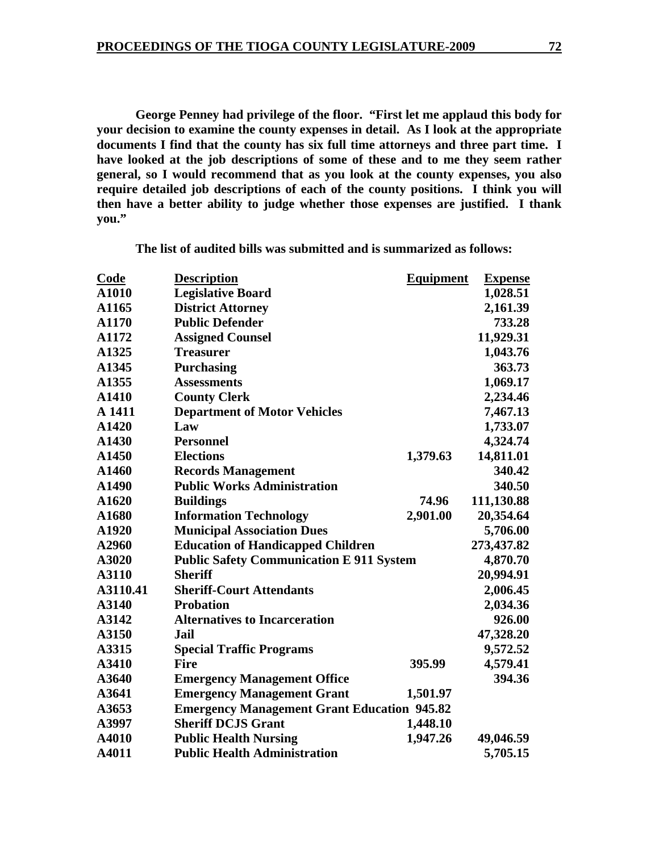**George Penney had privilege of the floor. "First let me applaud this body for your decision to examine the county expenses in detail. As I look at the appropriate documents I find that the county has six full time attorneys and three part time. I have looked at the job descriptions of some of these and to me they seem rather general, so I would recommend that as you look at the county expenses, you also require detailed job descriptions of each of the county positions. I think you will then have a better ability to judge whether those expenses are justified. I thank you."** 

| <b>Code</b> | <b>Description</b>                                 | <b>Equipment</b> | <b>Expense</b> |
|-------------|----------------------------------------------------|------------------|----------------|
| A1010       | <b>Legislative Board</b>                           |                  | 1,028.51       |
| A1165       | <b>District Attorney</b>                           |                  | 2,161.39       |
| A1170       | <b>Public Defender</b>                             |                  | 733.28         |
| A1172       | <b>Assigned Counsel</b>                            |                  | 11,929.31      |
| A1325       | <b>Treasurer</b>                                   |                  | 1,043.76       |
| A1345       | <b>Purchasing</b>                                  |                  | 363.73         |
| A1355       | <b>Assessments</b>                                 |                  | 1,069.17       |
| A1410       | <b>County Clerk</b>                                |                  | 2,234.46       |
| A 1411      | <b>Department of Motor Vehicles</b>                |                  | 7,467.13       |
| A1420       | Law                                                |                  | 1,733.07       |
| A1430       | <b>Personnel</b>                                   |                  | 4,324.74       |
| A1450       | <b>Elections</b>                                   | 1,379.63         | 14,811.01      |
| A1460       | <b>Records Management</b>                          |                  | 340.42         |
| A1490       | <b>Public Works Administration</b>                 |                  | 340.50         |
| A1620       | <b>Buildings</b>                                   | 74.96            | 111,130.88     |
| A1680       | <b>Information Technology</b>                      | 2,901.00         | 20,354.64      |
| A1920       | <b>Municipal Association Dues</b>                  |                  | 5,706.00       |
| A2960       | <b>Education of Handicapped Children</b>           |                  | 273,437.82     |
| A3020       | <b>Public Safety Communication E 911 System</b>    |                  | 4,870.70       |
| A3110       | <b>Sheriff</b>                                     |                  | 20,994.91      |
| A3110.41    | <b>Sheriff-Court Attendants</b>                    |                  | 2,006.45       |
| A3140       | <b>Probation</b>                                   |                  | 2,034.36       |
| A3142       | <b>Alternatives to Incarceration</b>               |                  | 926.00         |
| A3150       | <b>Jail</b>                                        |                  | 47,328.20      |
| A3315       | <b>Special Traffic Programs</b>                    |                  | 9,572.52       |
| A3410       | <b>Fire</b>                                        | 395.99           | 4,579.41       |
| A3640       | <b>Emergency Management Office</b>                 |                  | 394.36         |
| A3641       | <b>Emergency Management Grant</b>                  | 1,501.97         |                |
| A3653       | <b>Emergency Management Grant Education 945.82</b> |                  |                |
| A3997       | <b>Sheriff DCJS Grant</b>                          | 1,448.10         |                |
| A4010       | <b>Public Health Nursing</b>                       | 1,947.26         | 49,046.59      |
| A4011       | <b>Public Health Administration</b>                |                  | 5,705.15       |

**The list of audited bills was submitted and is summarized as follows:**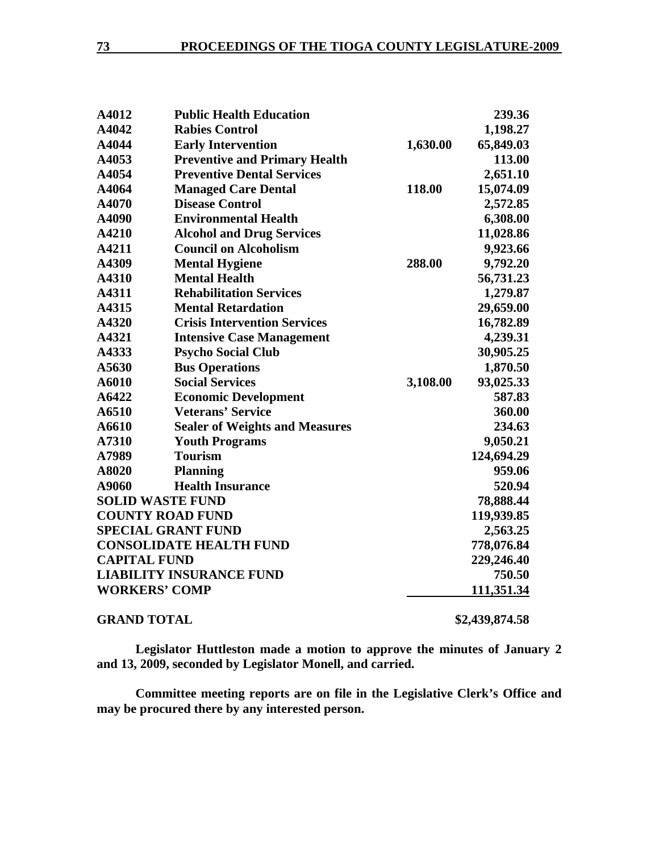| A4012                          | <b>Public Health Education</b>        |          | 239.36         |
|--------------------------------|---------------------------------------|----------|----------------|
| A4042                          | <b>Rabies Control</b>                 |          | 1,198.27       |
| A4044                          | <b>Early Intervention</b>             | 1,630.00 | 65,849.03      |
| A4053                          | <b>Preventive and Primary Health</b>  |          | 113.00         |
| A4054                          | <b>Preventive Dental Services</b>     |          | 2,651.10       |
| A4064                          | <b>Managed Care Dental</b>            | 118.00   | 15,074.09      |
| A4070                          | <b>Disease Control</b>                |          | 2,572.85       |
| A4090                          | <b>Environmental Health</b>           |          | 6,308.00       |
| A4210                          | <b>Alcohol and Drug Services</b>      |          | 11,028.86      |
| A4211                          | <b>Council on Alcoholism</b>          |          | 9,923.66       |
| A4309                          | <b>Mental Hygiene</b>                 | 288.00   | 9,792.20       |
| A4310                          | <b>Mental Health</b>                  |          | 56,731.23      |
| A4311                          | <b>Rehabilitation Services</b>        |          | 1,279.87       |
| A4315                          | <b>Mental Retardation</b>             |          | 29,659.00      |
| A4320                          | <b>Crisis Intervention Services</b>   |          | 16,782.89      |
| A4321                          | <b>Intensive Case Management</b>      |          | 4,239.31       |
| A4333                          | <b>Psycho Social Club</b>             |          | 30,905.25      |
| A5630                          | <b>Bus Operations</b>                 |          | 1,870.50       |
| A6010                          | <b>Social Services</b>                | 3,108.00 | 93,025.33      |
| A6422                          | <b>Economic Development</b>           |          | 587.83         |
| A6510                          | <b>Veterans' Service</b>              |          | 360.00         |
| A6610                          | <b>Sealer of Weights and Measures</b> |          | 234.63         |
| A7310                          | <b>Youth Programs</b>                 |          | 9,050.21       |
| A7989                          | <b>Tourism</b>                        |          | 124,694.29     |
| A8020                          | <b>Planning</b>                       |          | 959.06         |
| A9060                          | <b>Health Insurance</b>               |          | 520.94         |
| <b>SOLID WASTE FUND</b>        |                                       |          | 78,888.44      |
| <b>COUNTY ROAD FUND</b>        |                                       |          | 119,939.85     |
| <b>SPECIAL GRANT FUND</b>      |                                       |          | 2,563.25       |
| <b>CONSOLIDATE HEALTH FUND</b> |                                       |          | 778,076.84     |
| <b>CAPITAL FUND</b>            |                                       |          | 229,246.40     |
|                                | <b>LIABILITY INSURANCE FUND</b>       |          | 750.50         |
| <b>WORKERS' COMP</b>           |                                       |          | 111,351.34     |
| <b>GRAND TOTAL</b>             |                                       |          | \$2,439,874.58 |

 **Legislator Huttleston made a motion to approve the minutes of January 2 and 13, 2009, seconded by Legislator Monell, and carried.** 

**Committee meeting reports are on file in the Legislative Clerk's Office and may be procured there by any interested person.**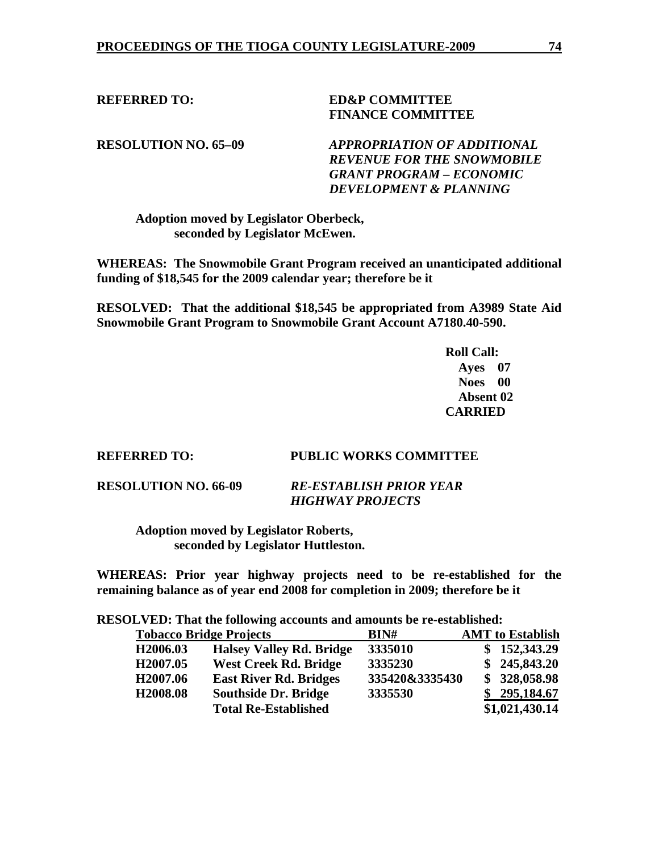**REFERRED TO: ED&P COMMITTEE FINANCE COMMITTEE** 

**RESOLUTION NO. 65–09** *APPROPRIATION OF ADDITIONAL REVENUE FOR THE SNOWMOBILE GRANT PROGRAM – ECONOMIC DEVELOPMENT & PLANNING* 

 **Adoption moved by Legislator Oberbeck, seconded by Legislator McEwen.** 

**WHEREAS: The Snowmobile Grant Program received an unanticipated additional funding of \$18,545 for the 2009 calendar year; therefore be it** 

**RESOLVED: That the additional \$18,545 be appropriated from A3989 State Aid Snowmobile Grant Program to Snowmobile Grant Account A7180.40-590.** 

> **Roll Call: Ayes 07 Noes 00 Absent 02 CARRIED**

# **REFERRED TO: PUBLIC WORKS COMMITTEE**

**RESOLUTION NO. 66-09** *RE-ESTABLISH PRIOR YEAR* 

 *HIGHWAY PROJECTS* 

 **Adoption moved by Legislator Roberts, seconded by Legislator Huttleston.** 

**WHEREAS: Prior year highway projects need to be re-established for the remaining balance as of year end 2008 for completion in 2009; therefore be it** 

**RESOLVED: That the following accounts and amounts be re-established:** 

| <b>Tobacco Bridge Projects</b> |                                 | BIN#           | <b>AMT</b> to Establish |
|--------------------------------|---------------------------------|----------------|-------------------------|
| H <sub>2006.03</sub>           | <b>Halsey Valley Rd. Bridge</b> | 3335010        | \$152,343.29            |
| H <sub>2007.05</sub>           | <b>West Creek Rd. Bridge</b>    | 3335230        | \$245,843.20            |
| H <sub>2007.06</sub>           | <b>East River Rd. Bridges</b>   | 335420&3335430 | \$328,058.98            |
| H <sub>2008.08</sub>           | <b>Southside Dr. Bridge</b>     | 3335530        | \$295,184.67            |
|                                | <b>Total Re-Established</b>     |                | \$1,021,430.14          |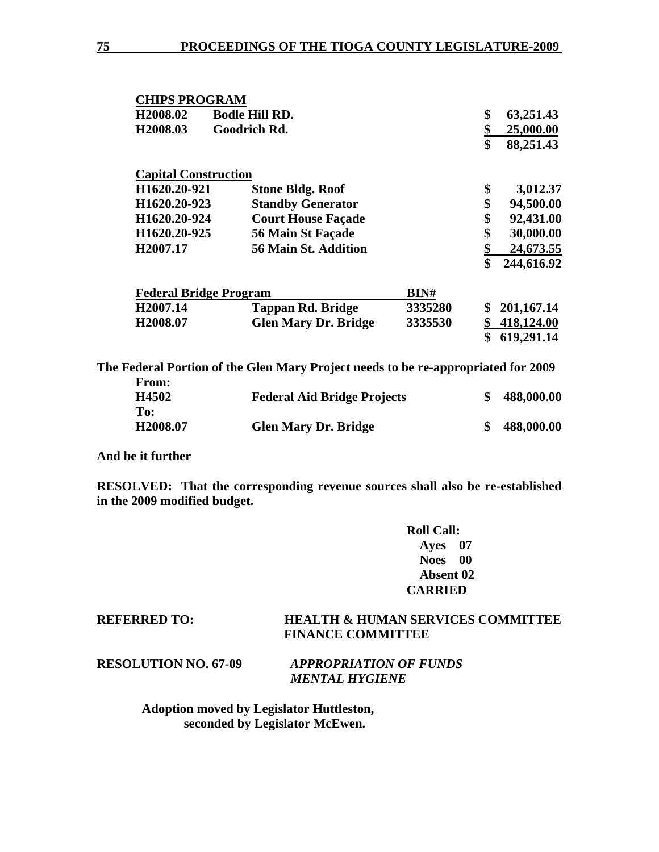| <b>CHIPS PROGRAM</b>          |                             |         |                  |
|-------------------------------|-----------------------------|---------|------------------|
| H <sub>2008.02</sub>          | <b>Bodle Hill RD.</b>       |         | \$<br>63,251.43  |
| H <sub>2008.03</sub>          | Goodrich Rd.                |         | 25,000.00        |
|                               |                             |         | \$<br>88,251.43  |
| <b>Capital Construction</b>   |                             |         |                  |
| H1620.20-921                  | <b>Stone Bldg. Roof</b>     |         | \$<br>3,012.37   |
| H1620.20-923                  | <b>Standby Generator</b>    |         | \$<br>94,500.00  |
| H1620.20-924                  | <b>Court House Façade</b>   |         | \$<br>92,431.00  |
| H1620.20-925                  | 56 Main St Façade           |         | \$<br>30,000.00  |
| H <sub>2007.17</sub>          | 56 Main St. Addition        |         | \$<br>24,673.55  |
|                               |                             |         | \$<br>244,616.92 |
| <b>Federal Bridge Program</b> |                             | BIN#    |                  |
| H <sub>2007.14</sub>          | <b>Tappan Rd. Bridge</b>    | 3335280 | \$<br>201,167.14 |
| H <sub>2008.07</sub>          | <b>Glen Mary Dr. Bridge</b> | 3335530 | \$<br>418,124.00 |
|                               |                             |         | \$<br>619,291.14 |

**The Federal Portion of the Glen Mary Project needs to be re-appropriated for 2009** 

| From:                |                                    |            |
|----------------------|------------------------------------|------------|
| H4502                | <b>Federal Aid Bridge Projects</b> | 488,000.00 |
| To:                  |                                    |            |
| H <sub>2008.07</sub> | <b>Glen Mary Dr. Bridge</b>        | 488,000.00 |

**And be it further** 

**RESOLVED: That the corresponding revenue sources shall also be re-established in the 2009 modified budget.** 

> **Roll Call: Ayes 07 Noes 00 Absent 02 CARRIED**

# **REFERRED TO: HEALTH & HUMAN SERVICES COMMITTEE FINANCE COMMITTEE**

**RESOLUTION NO. 67-09** *APPROPRIATION OF FUNDS MENTAL HYGIENE* 

> **Adoption moved by Legislator Huttleston, seconded by Legislator McEwen.**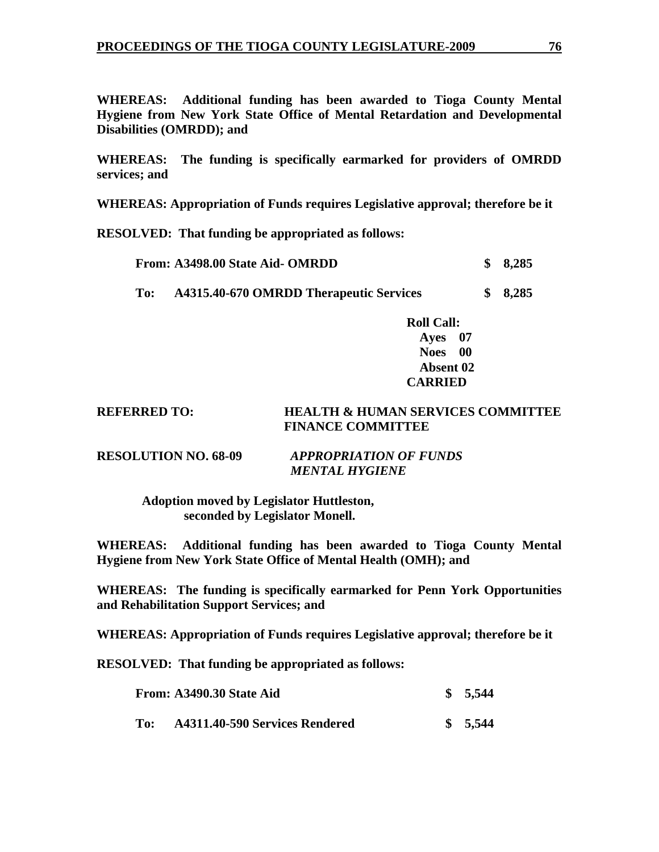**WHEREAS: Additional funding has been awarded to Tioga County Mental Hygiene from New York State Office of Mental Retardation and Developmental Disabilities (OMRDD); and** 

**WHEREAS: The funding is specifically earmarked for providers of OMRDD services; and** 

**WHEREAS: Appropriation of Funds requires Legislative approval; therefore be it** 

**RESOLVED: That funding be appropriated as follows:** 

|     | From: A3498.00 State Aid- OMRDD         | \$8,285 |
|-----|-----------------------------------------|---------|
| To: | A4315.40-670 OMRDD Therapeutic Services | \$8,285 |

 **Roll Call: Ayes 07 Noes 00 Absent 02 CARRIED** 

# **REFERRED TO: HEALTH & HUMAN SERVICES COMMITTEE FINANCE COMMITTEE**

# **RESOLUTION NO. 68-09** *APPROPRIATION OF FUNDS MENTAL HYGIENE*

 **Adoption moved by Legislator Huttleston, seconded by Legislator Monell.** 

**WHEREAS: Additional funding has been awarded to Tioga County Mental Hygiene from New York State Office of Mental Health (OMH); and** 

**WHEREAS: The funding is specifically earmarked for Penn York Opportunities and Rehabilitation Support Services; and** 

**WHEREAS: Appropriation of Funds requires Legislative approval; therefore be it** 

**RESOLVED: That funding be appropriated as follows:** 

|     | From: A3490.30 State Aid       | \$5,544 |
|-----|--------------------------------|---------|
| To: | A4311.40-590 Services Rendered | \$5,544 |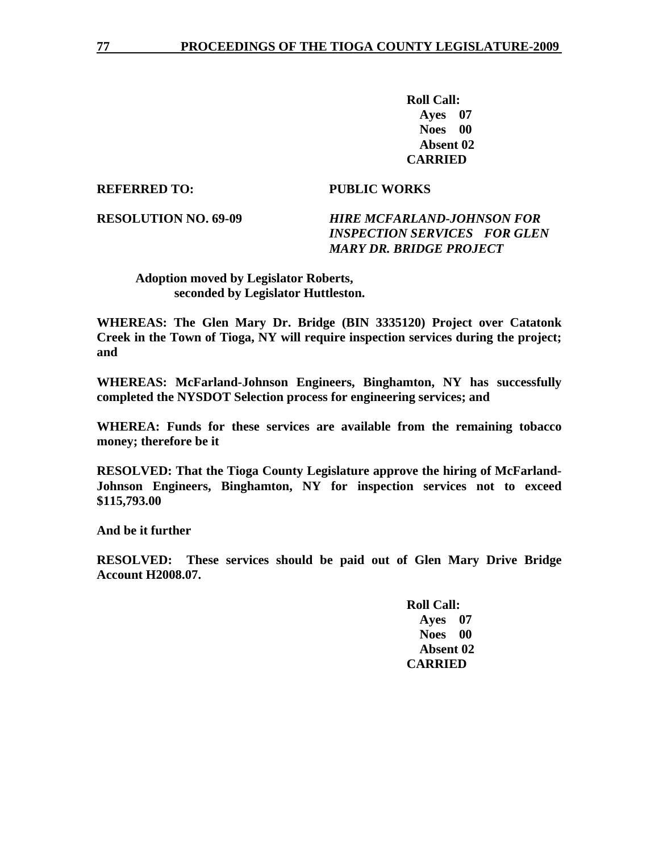**Roll Call: Ayes 07 Noes 00 Absent 02 CARRIED** 

## **REFERRED TO: PUBLIC WORKS**

# **RESOLUTION NO. 69-09** *HIRE MCFARLAND-JOHNSON FOR INSPECTION SERVICES FOR GLEN MARY DR. BRIDGE PROJECT*

 **Adoption moved by Legislator Roberts, seconded by Legislator Huttleston.** 

**WHEREAS: The Glen Mary Dr. Bridge (BIN 3335120) Project over Catatonk Creek in the Town of Tioga, NY will require inspection services during the project; and** 

**WHEREAS: McFarland-Johnson Engineers, Binghamton, NY has successfully completed the NYSDOT Selection process for engineering services; and** 

**WHEREA: Funds for these services are available from the remaining tobacco money; therefore be it** 

**RESOLVED: That the Tioga County Legislature approve the hiring of McFarland-Johnson Engineers, Binghamton, NY for inspection services not to exceed \$115,793.00** 

**And be it further** 

**RESOLVED: These services should be paid out of Glen Mary Drive Bridge Account H2008.07.**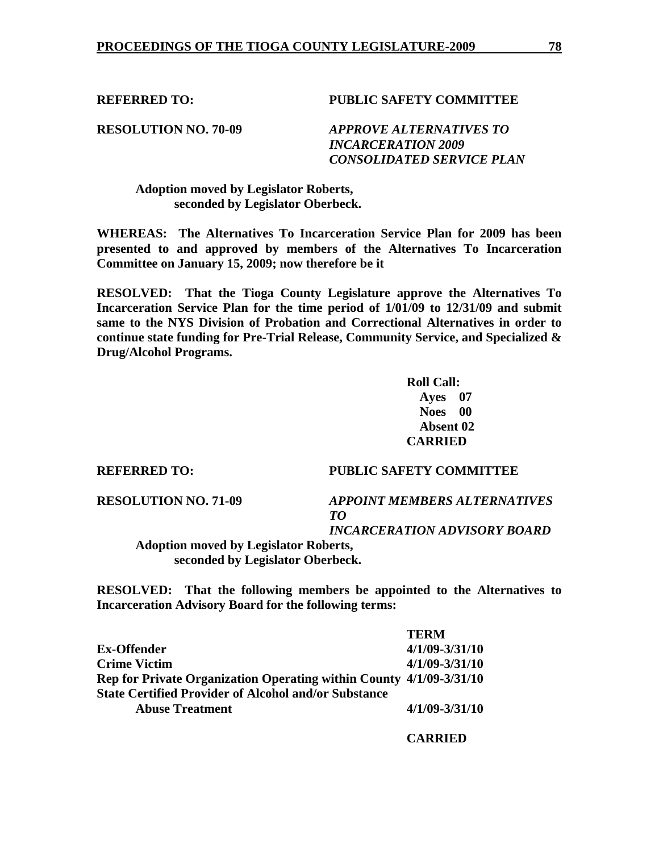**REFERRED TO: PUBLIC SAFETY COMMITTEE** 

**RESOLUTION NO. 70-09** *APPROVE ALTERNATIVES TO INCARCERATION 2009 CONSOLIDATED SERVICE PLAN* 

 **Adoption moved by Legislator Roberts, seconded by Legislator Oberbeck.** 

**WHEREAS: The Alternatives To Incarceration Service Plan for 2009 has been presented to and approved by members of the Alternatives To Incarceration Committee on January 15, 2009; now therefore be it** 

**RESOLVED: That the Tioga County Legislature approve the Alternatives To Incarceration Service Plan for the time period of 1/01/09 to 12/31/09 and submit same to the NYS Division of Probation and Correctional Alternatives in order to continue state funding for Pre-Trial Release, Community Service, and Specialized & Drug/Alcohol Programs.** 

> **Roll Call: Ayes 07 Noes 00 Absent 02 CARRIED**

#### **REFERRED TO: PUBLIC SAFETY COMMITTEE**

**RESOLUTION NO. 71-09** *APPOINT MEMBERS ALTERNATIVES TO* 

*INCARCERATION ADVISORY BOARD* 

 **Adoption moved by Legislator Roberts, seconded by Legislator Oberbeck.** 

**RESOLVED: That the following members be appointed to the Alternatives to Incarceration Advisory Board for the following terms:** 

|                                                                     | <b>TERM</b>        |
|---------------------------------------------------------------------|--------------------|
| <b>Ex-Offender</b>                                                  | $4/1/09 - 3/31/10$ |
| <b>Crime Victim</b>                                                 | $4/1/09 - 3/31/10$ |
| Rep for Private Organization Operating within County 4/1/09-3/31/10 |                    |
| <b>State Certified Provider of Alcohol and/or Substance</b>         |                    |
| <b>Abuse Treatment</b>                                              | $4/1/09 - 3/31/10$ |
|                                                                     |                    |

 **CARRIED**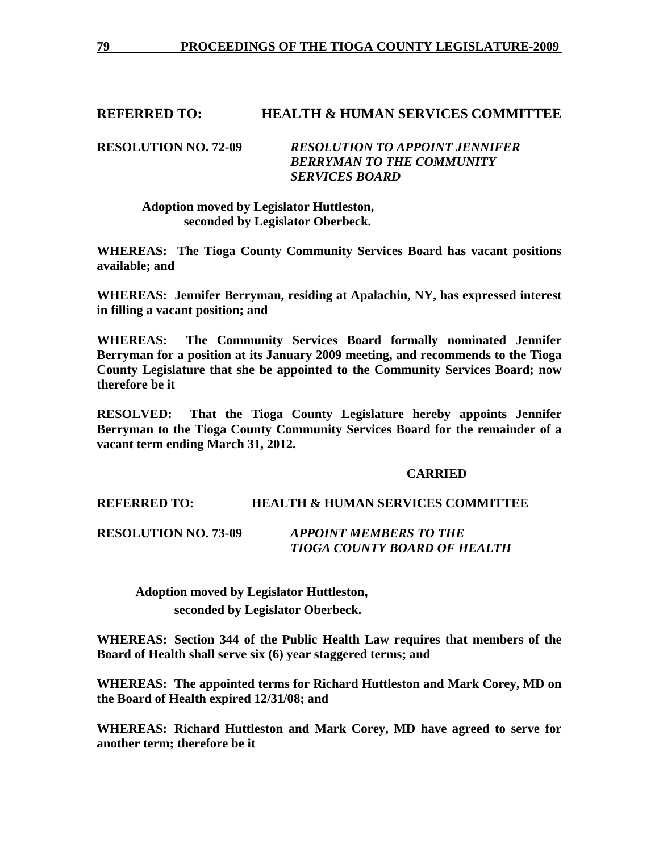# **REFERRED TO: HEALTH & HUMAN SERVICES COMMITTEE**

### **RESOLUTION NO. 72-09** *RESOLUTION TO APPOINT JENNIFER BERRYMAN TO THE COMMUNITY SERVICES BOARD*

 **Adoption moved by Legislator Huttleston, seconded by Legislator Oberbeck.** 

**WHEREAS: The Tioga County Community Services Board has vacant positions available; and** 

**WHEREAS: Jennifer Berryman, residing at Apalachin, NY, has expressed interest in filling a vacant position; and** 

**WHEREAS: The Community Services Board formally nominated Jennifer Berryman for a position at its January 2009 meeting, and recommends to the Tioga County Legislature that she be appointed to the Community Services Board; now therefore be it** 

**RESOLVED: That the Tioga County Legislature hereby appoints Jennifer Berryman to the Tioga County Community Services Board for the remainder of a vacant term ending March 31, 2012.** 

### **CARRIED**

## **REFERRED TO: HEALTH & HUMAN SERVICES COMMITTEE**

**RESOLUTION NO. 73-09** *APPOINT MEMBERS TO THE TIOGA COUNTY BOARD OF HEALTH* 

**Adoption moved by Legislator Huttleston, seconded by Legislator Oberbeck.** 

**WHEREAS: Section 344 of the Public Health Law requires that members of the Board of Health shall serve six (6) year staggered terms; and** 

**WHEREAS: The appointed terms for Richard Huttleston and Mark Corey, MD on the Board of Health expired 12/31/08; and** 

**WHEREAS: Richard Huttleston and Mark Corey, MD have agreed to serve for another term; therefore be it**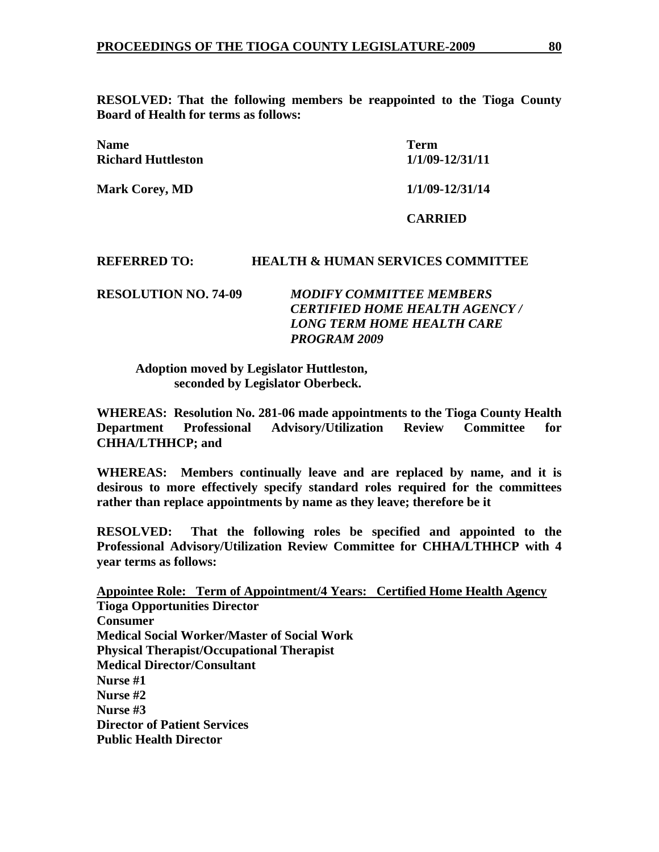**RESOLVED: That the following members be reappointed to the Tioga County Board of Health for terms as follows:** 

| <b>Name</b><br><b>Richard Huttleston</b> | <b>Term</b><br>1/1/09-12/31/11 |
|------------------------------------------|--------------------------------|
| <b>Mark Corey, MD</b>                    | 1/1/09-12/31/14                |
|                                          | <b>CARRIED</b>                 |

## **REFERRED TO: HEALTH & HUMAN SERVICES COMMITTEE**

**RESOLUTION NO. 74-09** *MODIFY COMMITTEE MEMBERS CERTIFIED HOME HEALTH AGENCY / LONG TERM HOME HEALTH CARE PROGRAM 2009* 

 **Adoption moved by Legislator Huttleston, seconded by Legislator Oberbeck.** 

**WHEREAS: Resolution No. 281-06 made appointments to the Tioga County Health Department Professional Advisory/Utilization Review Committee for CHHA/LTHHCP; and** 

**WHEREAS: Members continually leave and are replaced by name, and it is desirous to more effectively specify standard roles required for the committees rather than replace appointments by name as they leave; therefore be it** 

**RESOLVED: That the following roles be specified and appointed to the Professional Advisory/Utilization Review Committee for CHHA/LTHHCP with 4 year terms as follows:** 

**Appointee Role: Term of Appointment/4 Years: Certified Home Health Agency Tioga Opportunities Director Consumer Medical Social Worker/Master of Social Work Physical Therapist/Occupational Therapist Medical Director/Consultant Nurse #1 Nurse #2 Nurse #3 Director of Patient Services Public Health Director**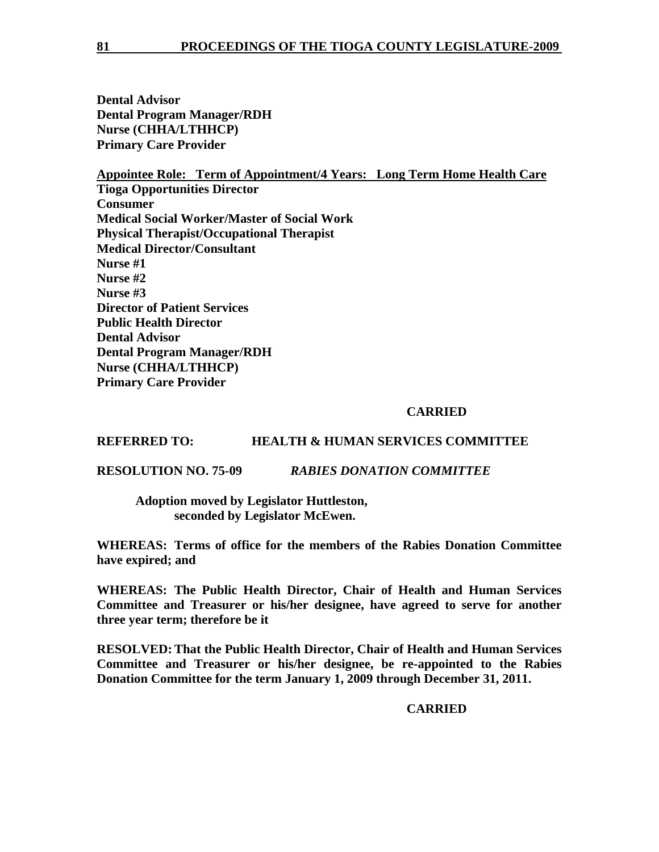**Dental Advisor Dental Program Manager/RDH Nurse (CHHA/LTHHCP) Primary Care Provider** 

**Appointee Role: Term of Appointment/4 Years: Long Term Home Health Care Tioga Opportunities Director Consumer Medical Social Worker/Master of Social Work Physical Therapist/Occupational Therapist Medical Director/Consultant Nurse #1 Nurse #2 Nurse #3 Director of Patient Services Public Health Director Dental Advisor Dental Program Manager/RDH Nurse (CHHA/LTHHCP) Primary Care Provider** 

# **CARRIED**

**REFERRED TO: HEALTH & HUMAN SERVICES COMMITTEE** 

**RESOLUTION NO. 75-09** *RABIES DONATION COMMITTEE* 

 **Adoption moved by Legislator Huttleston, seconded by Legislator McEwen.** 

**WHEREAS: Terms of office for the members of the Rabies Donation Committee have expired; and** 

**WHEREAS: The Public Health Director, Chair of Health and Human Services Committee and Treasurer or his/her designee, have agreed to serve for another three year term; therefore be it** 

**RESOLVED: That the Public Health Director, Chair of Health and Human Services Committee and Treasurer or his/her designee, be re-appointed to the Rabies Donation Committee for the term January 1, 2009 through December 31, 2011.** 

 **CARRIED**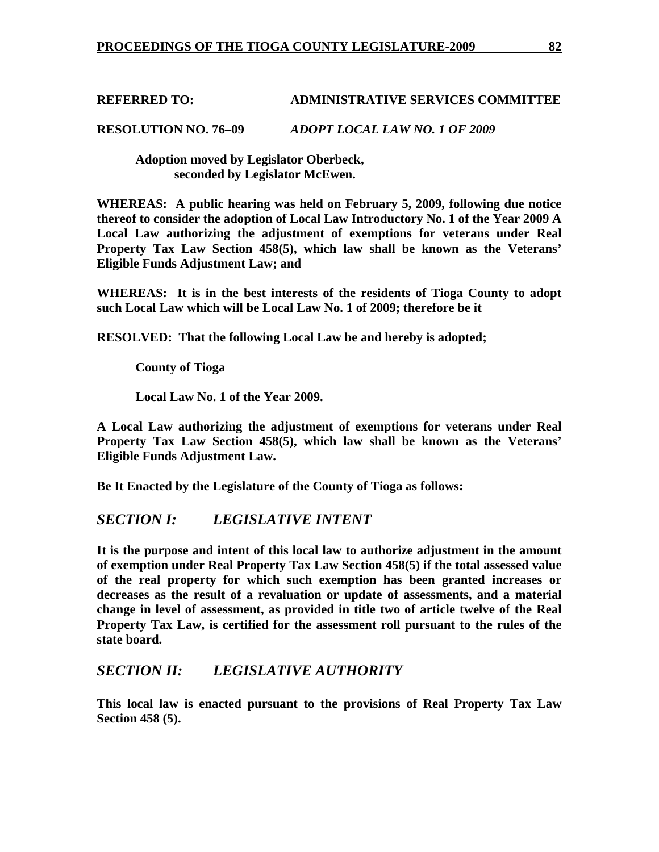# **REFERRED TO: ADMINISTRATIVE SERVICES COMMITTEE**

**RESOLUTION NO. 76–09** *ADOPT LOCAL LAW NO. 1 OF 2009* 

 **Adoption moved by Legislator Oberbeck, seconded by Legislator McEwen.** 

**WHEREAS: A public hearing was held on February 5, 2009, following due notice thereof to consider the adoption of Local Law Introductory No. 1 of the Year 2009 A Local Law authorizing the adjustment of exemptions for veterans under Real Property Tax Law Section 458(5), which law shall be known as the Veterans' Eligible Funds Adjustment Law; and** 

**WHEREAS: It is in the best interests of the residents of Tioga County to adopt such Local Law which will be Local Law No. 1 of 2009; therefore be it** 

**RESOLVED: That the following Local Law be and hereby is adopted;** 

 **County of Tioga** 

 **Local Law No. 1 of the Year 2009.** 

**A Local Law authorizing the adjustment of exemptions for veterans under Real Property Tax Law Section 458(5), which law shall be known as the Veterans' Eligible Funds Adjustment Law.** 

**Be It Enacted by the Legislature of the County of Tioga as follows:** 

# *SECTION I: LEGISLATIVE INTENT*

**It is the purpose and intent of this local law to authorize adjustment in the amount of exemption under Real Property Tax Law Section 458(5) if the total assessed value of the real property for which such exemption has been granted increases or decreases as the result of a revaluation or update of assessments, and a material change in level of assessment, as provided in title two of article twelve of the Real Property Tax Law, is certified for the assessment roll pursuant to the rules of the state board.** 

# *SECTION II: LEGISLATIVE AUTHORITY*

**This local law is enacted pursuant to the provisions of Real Property Tax Law Section 458 (5).**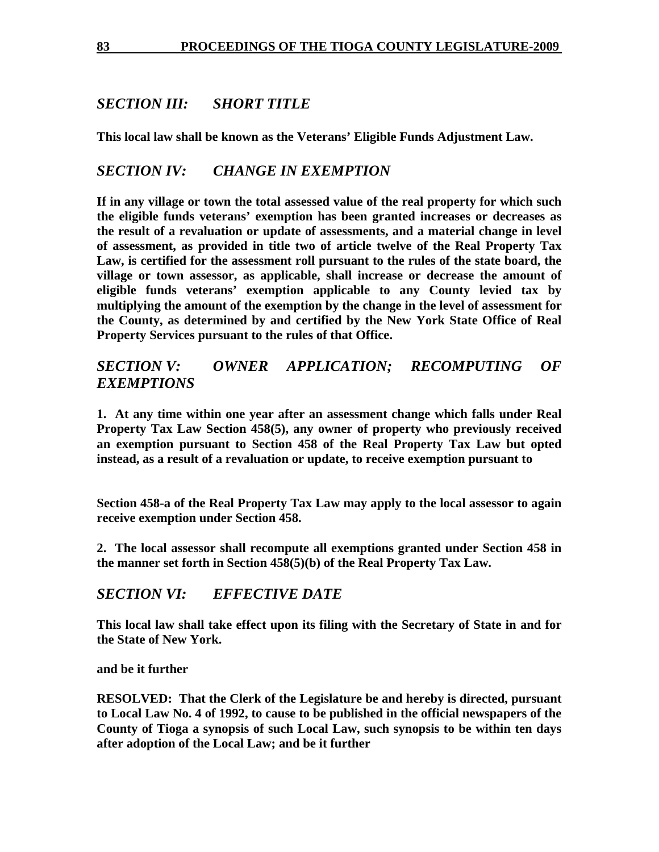# *SECTION III: SHORT TITLE*

**This local law shall be known as the Veterans' Eligible Funds Adjustment Law.** 

# *SECTION IV: CHANGE IN EXEMPTION*

**If in any village or town the total assessed value of the real property for which such the eligible funds veterans' exemption has been granted increases or decreases as the result of a revaluation or update of assessments, and a material change in level of assessment, as provided in title two of article twelve of the Real Property Tax Law, is certified for the assessment roll pursuant to the rules of the state board, the village or town assessor, as applicable, shall increase or decrease the amount of eligible funds veterans' exemption applicable to any County levied tax by multiplying the amount of the exemption by the change in the level of assessment for the County, as determined by and certified by the New York State Office of Real Property Services pursuant to the rules of that Office.** 

# *SECTION V: OWNER APPLICATION; RECOMPUTING OF EXEMPTIONS*

**1. At any time within one year after an assessment change which falls under Real Property Tax Law Section 458(5), any owner of property who previously received an exemption pursuant to Section 458 of the Real Property Tax Law but opted instead, as a result of a revaluation or update, to receive exemption pursuant to** 

**Section 458-a of the Real Property Tax Law may apply to the local assessor to again receive exemption under Section 458.** 

**2. The local assessor shall recompute all exemptions granted under Section 458 in the manner set forth in Section 458(5)(b) of the Real Property Tax Law.** 

# *SECTION VI: EFFECTIVE DATE*

**This local law shall take effect upon its filing with the Secretary of State in and for the State of New York.** 

**and be it further** 

**RESOLVED: That the Clerk of the Legislature be and hereby is directed, pursuant to Local Law No. 4 of 1992, to cause to be published in the official newspapers of the County of Tioga a synopsis of such Local Law, such synopsis to be within ten days after adoption of the Local Law; and be it further**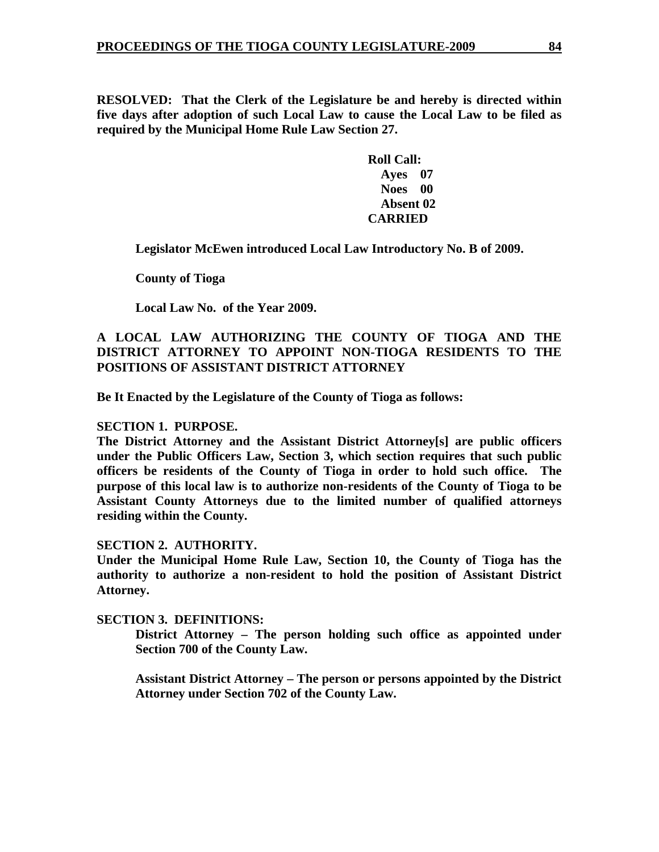**RESOLVED: That the Clerk of the Legislature be and hereby is directed within five days after adoption of such Local Law to cause the Local Law to be filed as required by the Municipal Home Rule Law Section 27.** 

> **Roll Call: Ayes 07 Noes 00 Absent 02 CARRIED**

 **Legislator McEwen introduced Local Law Introductory No. B of 2009.** 

 **County of Tioga** 

 **Local Law No. of the Year 2009.** 

# **A LOCAL LAW AUTHORIZING THE COUNTY OF TIOGA AND THE DISTRICT ATTORNEY TO APPOINT NON-TIOGA RESIDENTS TO THE POSITIONS OF ASSISTANT DISTRICT ATTORNEY**

**Be It Enacted by the Legislature of the County of Tioga as follows:** 

### **SECTION 1. PURPOSE.**

**The District Attorney and the Assistant District Attorney[s] are public officers under the Public Officers Law, Section 3, which section requires that such public officers be residents of the County of Tioga in order to hold such office. The purpose of this local law is to authorize non-residents of the County of Tioga to be Assistant County Attorneys due to the limited number of qualified attorneys residing within the County.** 

#### **SECTION 2. AUTHORITY.**

**Under the Municipal Home Rule Law, Section 10, the County of Tioga has the authority to authorize a non-resident to hold the position of Assistant District Attorney.** 

#### **SECTION 3. DEFINITIONS:**

**District Attorney – The person holding such office as appointed under Section 700 of the County Law.** 

**Assistant District Attorney – The person or persons appointed by the District Attorney under Section 702 of the County Law.**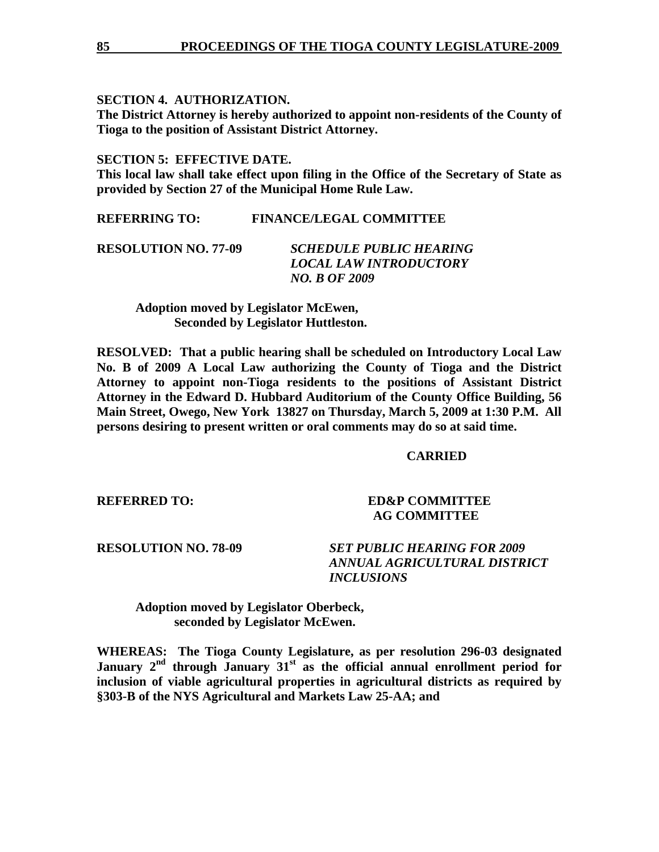# **SECTION 4. AUTHORIZATION.**

**The District Attorney is hereby authorized to appoint non-residents of the County of Tioga to the position of Assistant District Attorney.** 

# **SECTION 5: EFFECTIVE DATE.**

**This local law shall take effect upon filing in the Office of the Secretary of State as provided by Section 27 of the Municipal Home Rule Law.** 

**REFERRING TO: FINANCE/LEGAL COMMITTEE** 

| <b>RESOLUTION NO. 77-09</b> | SCHEDULE PUBLIC HEARING       |
|-----------------------------|-------------------------------|
|                             | <i>LOCAL LAW INTRODUCTORY</i> |
|                             | <b>NO. B OF 2009</b>          |

 **Adoption moved by Legislator McEwen, Seconded by Legislator Huttleston.** 

**RESOLVED: That a public hearing shall be scheduled on Introductory Local Law No. B of 2009 A Local Law authorizing the County of Tioga and the District Attorney to appoint non-Tioga residents to the positions of Assistant District Attorney in the Edward D. Hubbard Auditorium of the County Office Building, 56 Main Street, Owego, New York 13827 on Thursday, March 5, 2009 at 1:30 P.M. All persons desiring to present written or oral comments may do so at said time.** 

# **CARRIED**

**REFERRED TO: ED&P COMMITTEE**  **AG COMMITTEE** 

**RESOLUTION NO. 78-09** *SET PUBLIC HEARING FOR 2009 ANNUAL AGRICULTURAL DISTRICT INCLUSIONS*

 **Adoption moved by Legislator Oberbeck, seconded by Legislator McEwen.** 

**WHEREAS: The Tioga County Legislature, as per resolution 296-03 designated**  January 2<sup>nd</sup> through January 31<sup>st</sup> as the official annual enrollment period for **inclusion of viable agricultural properties in agricultural districts as required by §303-B of the NYS Agricultural and Markets Law 25-AA; and**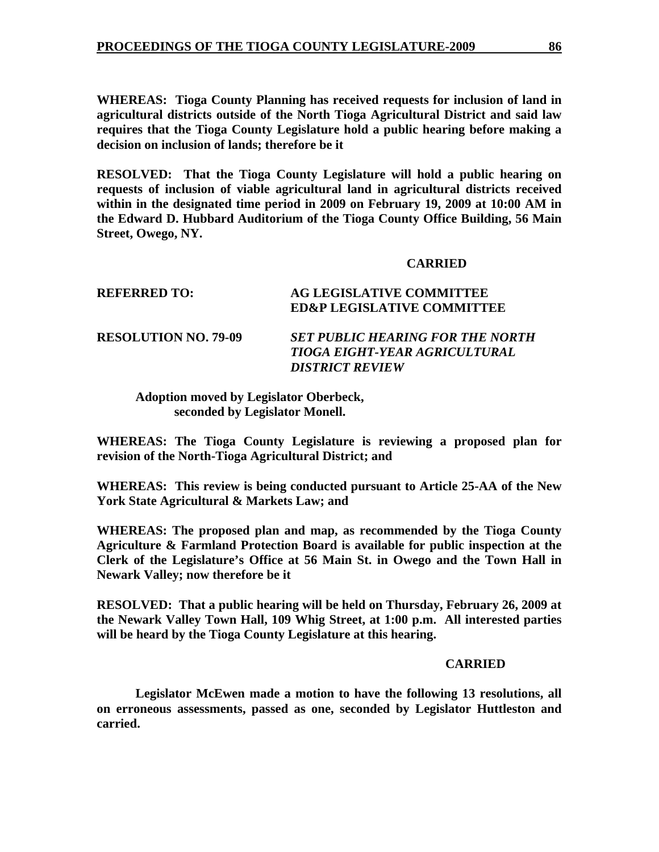**WHEREAS: Tioga County Planning has received requests for inclusion of land in agricultural districts outside of the North Tioga Agricultural District and said law requires that the Tioga County Legislature hold a public hearing before making a decision on inclusion of lands; therefore be it** 

**RESOLVED: That the Tioga County Legislature will hold a public hearing on requests of inclusion of viable agricultural land in agricultural districts received within in the designated time period in 2009 on February 19, 2009 at 10:00 AM in the Edward D. Hubbard Auditorium of the Tioga County Office Building, 56 Main Street, Owego, NY.** 

### **CARRIED**

| REFERRED TO:                | <b>AG LEGISLATIVE COMMITTEE</b><br><b>ED&amp;P LEGISLATIVE COMMITTEE</b>                                  |
|-----------------------------|-----------------------------------------------------------------------------------------------------------|
| <b>RESOLUTION NO. 79-09</b> | <b>SET PUBLIC HEARING FOR THE NORTH</b><br><b>TIOGA EIGHT-YEAR AGRICULTURAL</b><br><b>DISTRICT REVIEW</b> |

**Adoption moved by Legislator Oberbeck, seconded by Legislator Monell.** 

**WHEREAS: The Tioga County Legislature is reviewing a proposed plan for revision of the North-Tioga Agricultural District; and** 

**WHEREAS: This review is being conducted pursuant to Article 25-AA of the New York State Agricultural & Markets Law; and** 

**WHEREAS: The proposed plan and map, as recommended by the Tioga County Agriculture & Farmland Protection Board is available for public inspection at the Clerk of the Legislature's Office at 56 Main St. in Owego and the Town Hall in Newark Valley; now therefore be it** 

**RESOLVED: That a public hearing will be held on Thursday, February 26, 2009 at the Newark Valley Town Hall, 109 Whig Street, at 1:00 p.m. All interested parties will be heard by the Tioga County Legislature at this hearing.** 

#### **CARRIED**

**Legislator McEwen made a motion to have the following 13 resolutions, all on erroneous assessments, passed as one, seconded by Legislator Huttleston and carried.**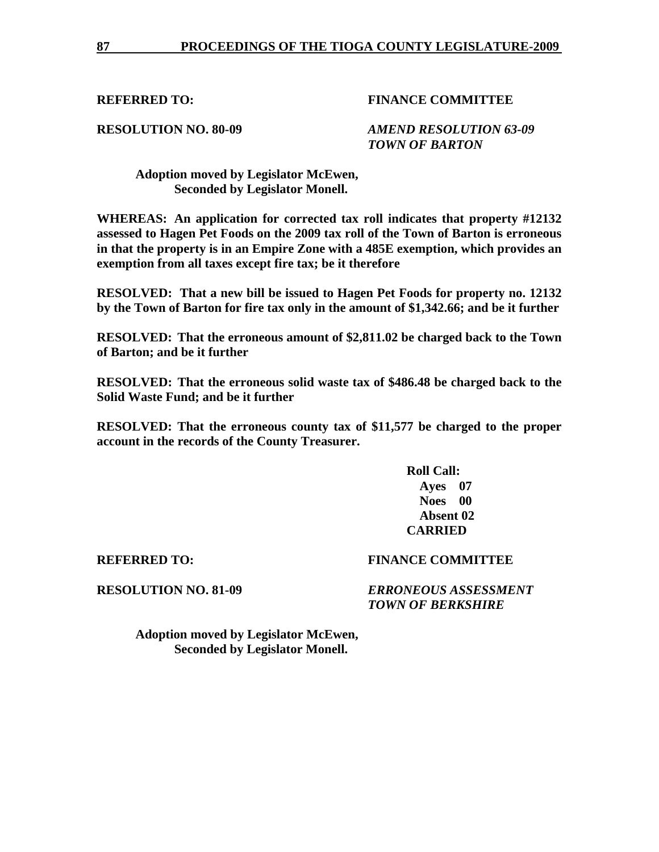# **RESOLUTION NO. 80-09** *AMEND RESOLUTION 63-09 TOWN OF BARTON*

 **Adoption moved by Legislator McEwen, Seconded by Legislator Monell.** 

**WHEREAS: An application for corrected tax roll indicates that property #12132 assessed to Hagen Pet Foods on the 2009 tax roll of the Town of Barton is erroneous in that the property is in an Empire Zone with a 485E exemption, which provides an exemption from all taxes except fire tax; be it therefore** 

**RESOLVED: That a new bill be issued to Hagen Pet Foods for property no. 12132 by the Town of Barton for fire tax only in the amount of \$1,342.66; and be it further** 

**RESOLVED: That the erroneous amount of \$2,811.02 be charged back to the Town of Barton; and be it further** 

**RESOLVED: That the erroneous solid waste tax of \$486.48 be charged back to the Solid Waste Fund; and be it further** 

**RESOLVED: That the erroneous county tax of \$11,577 be charged to the proper account in the records of the County Treasurer.** 

> **Roll Call: Ayes 07 Noes 00 Absent 02 CARRIED**

### **REFERRED TO: FINANCE COMMITTEE**

**RESOLUTION NO. 81-09** *ERRONEOUS ASSESSMENT TOWN OF BERKSHIRE*

 **Adoption moved by Legislator McEwen, Seconded by Legislator Monell.**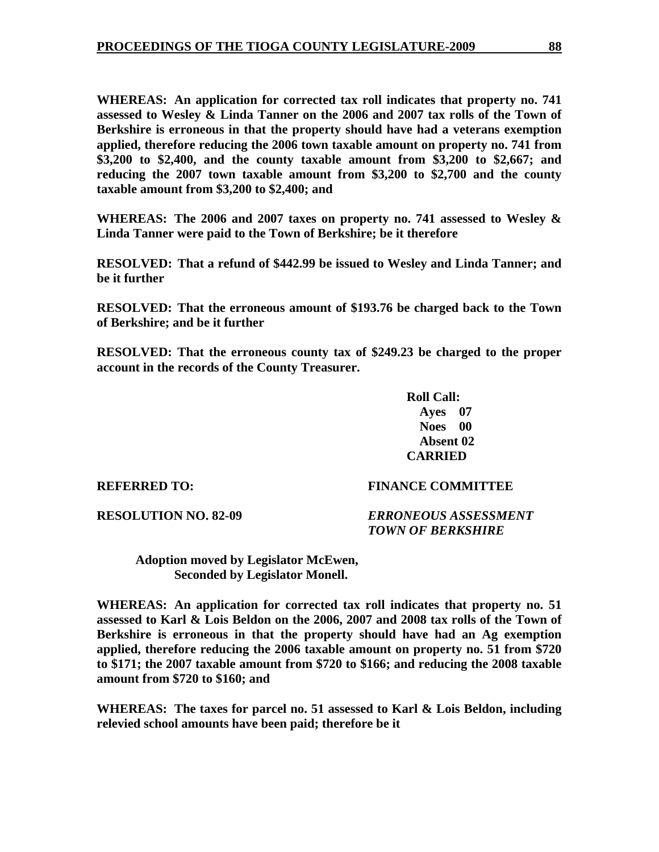**WHEREAS: An application for corrected tax roll indicates that property no. 741 assessed to Wesley & Linda Tanner on the 2006 and 2007 tax rolls of the Town of Berkshire is erroneous in that the property should have had a veterans exemption applied, therefore reducing the 2006 town taxable amount on property no. 741 from \$3,200 to \$2,400, and the county taxable amount from \$3,200 to \$2,667; and reducing the 2007 town taxable amount from \$3,200 to \$2,700 and the county taxable amount from \$3,200 to \$2,400; and** 

**WHEREAS: The 2006 and 2007 taxes on property no. 741 assessed to Wesley & Linda Tanner were paid to the Town of Berkshire; be it therefore** 

**RESOLVED: That a refund of \$442.99 be issued to Wesley and Linda Tanner; and be it further** 

**RESOLVED: That the erroneous amount of \$193.76 be charged back to the Town of Berkshire; and be it further** 

**RESOLVED: That the erroneous county tax of \$249.23 be charged to the proper account in the records of the County Treasurer.** 

> **Roll Call: Ayes 07 Noes 00 Absent 02 CARRIED**

**REFERRED TO: FINANCE COMMITTEE** 

**RESOLUTION NO. 82-09** *ERRONEOUS ASSESSMENT TOWN OF BERKSHIRE* 

 **Adoption moved by Legislator McEwen, Seconded by Legislator Monell.** 

**WHEREAS: An application for corrected tax roll indicates that property no. 51 assessed to Karl & Lois Beldon on the 2006, 2007 and 2008 tax rolls of the Town of Berkshire is erroneous in that the property should have had an Ag exemption applied, therefore reducing the 2006 taxable amount on property no. 51 from \$720 to \$171; the 2007 taxable amount from \$720 to \$166; and reducing the 2008 taxable amount from \$720 to \$160; and** 

**WHEREAS: The taxes for parcel no. 51 assessed to Karl & Lois Beldon, including relevied school amounts have been paid; therefore be it**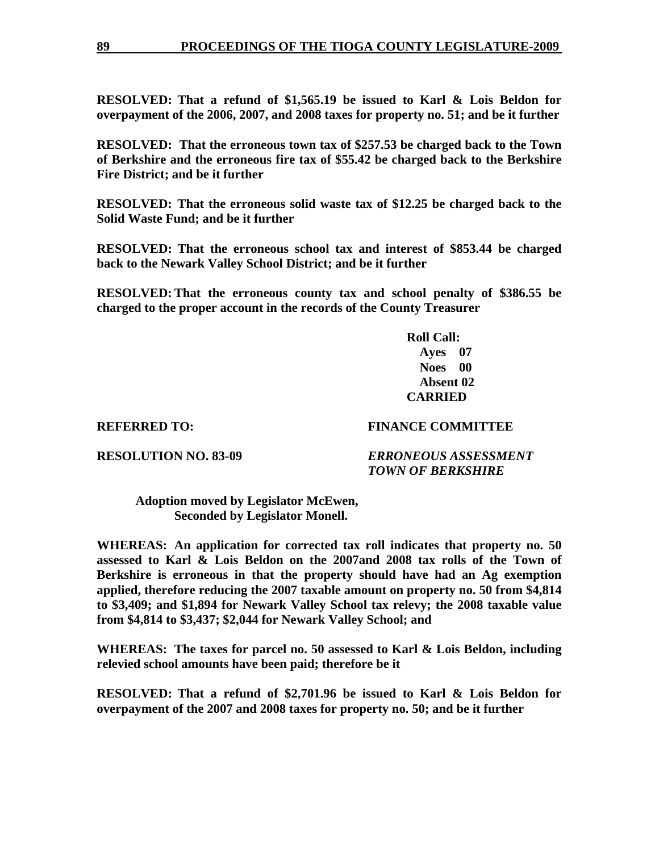**RESOLVED: That a refund of \$1,565.19 be issued to Karl & Lois Beldon for overpayment of the 2006, 2007, and 2008 taxes for property no. 51; and be it further** 

**RESOLVED: That the erroneous town tax of \$257.53 be charged back to the Town of Berkshire and the erroneous fire tax of \$55.42 be charged back to the Berkshire Fire District; and be it further** 

**RESOLVED: That the erroneous solid waste tax of \$12.25 be charged back to the Solid Waste Fund; and be it further** 

**RESOLVED: That the erroneous school tax and interest of \$853.44 be charged back to the Newark Valley School District; and be it further** 

**RESOLVED: That the erroneous county tax and school penalty of \$386.55 be charged to the proper account in the records of the County Treasurer** 

> **Roll Call: Ayes 07 Noes 00 Absent 02 CARRIED**

# **REFERRED TO: FINANCE COMMITTEE**

**RESOLUTION NO. 83-09** *ERRONEOUS ASSESSMENT TOWN OF BERKSHIRE*

 **Adoption moved by Legislator McEwen, Seconded by Legislator Monell.** 

**WHEREAS: An application for corrected tax roll indicates that property no. 50 assessed to Karl & Lois Beldon on the 2007and 2008 tax rolls of the Town of Berkshire is erroneous in that the property should have had an Ag exemption applied, therefore reducing the 2007 taxable amount on property no. 50 from \$4,814 to \$3,409; and \$1,894 for Newark Valley School tax relevy; the 2008 taxable value from \$4,814 to \$3,437; \$2,044 for Newark Valley School; and** 

**WHEREAS: The taxes for parcel no. 50 assessed to Karl & Lois Beldon, including relevied school amounts have been paid; therefore be it** 

**RESOLVED: That a refund of \$2,701.96 be issued to Karl & Lois Beldon for overpayment of the 2007 and 2008 taxes for property no. 50; and be it further**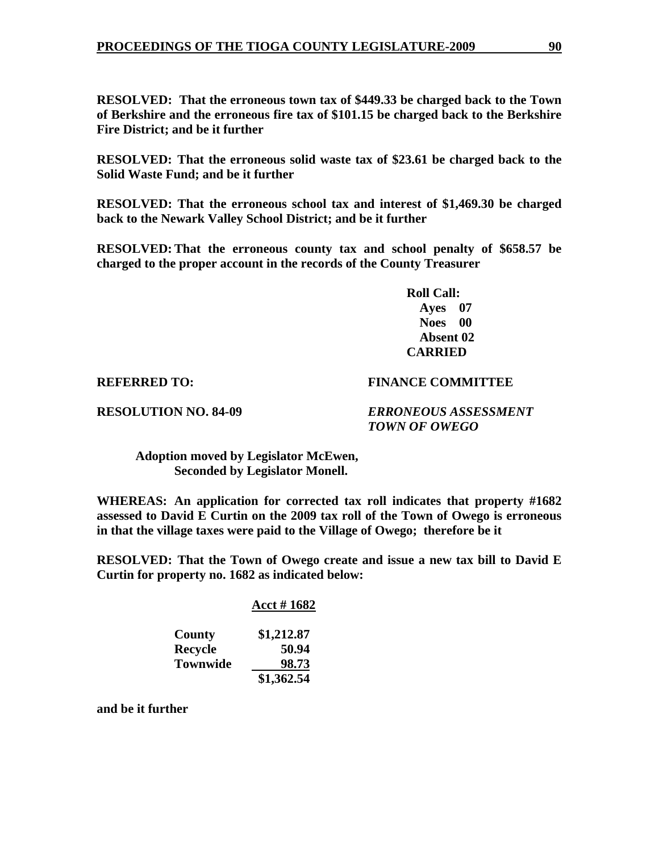**RESOLVED: That the erroneous town tax of \$449.33 be charged back to the Town of Berkshire and the erroneous fire tax of \$101.15 be charged back to the Berkshire Fire District; and be it further** 

**RESOLVED: That the erroneous solid waste tax of \$23.61 be charged back to the Solid Waste Fund; and be it further** 

**RESOLVED: That the erroneous school tax and interest of \$1,469.30 be charged back to the Newark Valley School District; and be it further** 

**RESOLVED: That the erroneous county tax and school penalty of \$658.57 be charged to the proper account in the records of the County Treasurer** 

> **Roll Call: Ayes 07 Noes 00 Absent 02 CARRIED**

### **REFERRED TO: FINANCE COMMITTEE**

**RESOLUTION NO. 84-09** *ERRONEOUS ASSESSMENT TOWN OF OWEGO* 

 **Adoption moved by Legislator McEwen, Seconded by Legislator Monell.** 

**WHEREAS: An application for corrected tax roll indicates that property #1682 assessed to David E Curtin on the 2009 tax roll of the Town of Owego is erroneous in that the village taxes were paid to the Village of Owego; therefore be it** 

**RESOLVED: That the Town of Owego create and issue a new tax bill to David E Curtin for property no. 1682 as indicated below:** 

### **Acct # 1682**

| County          | \$1,212.87 |
|-----------------|------------|
| Recycle         | 50.94      |
| <b>Townwide</b> | 98.73      |
|                 | \$1,362.54 |

**and be it further**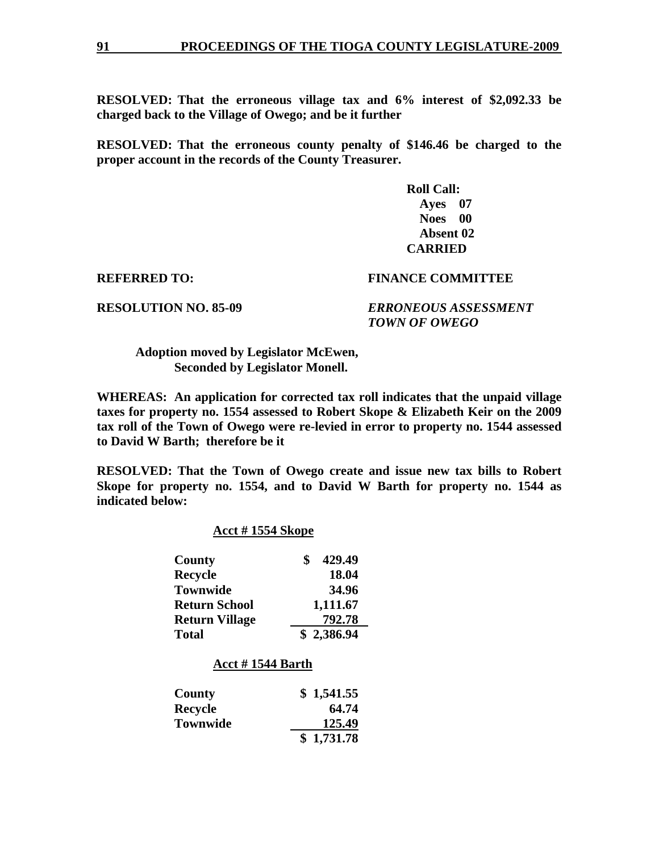**RESOLVED: That the erroneous village tax and 6% interest of \$2,092.33 be charged back to the Village of Owego; and be it further** 

**RESOLVED: That the erroneous county penalty of \$146.46 be charged to the proper account in the records of the County Treasurer.** 

> **Roll Call: Ayes 07 Noes 00 Absent 02 CARRIED**

### **REFERRED TO: FINANCE COMMITTEE**

**RESOLUTION NO. 85-09** *ERRONEOUS ASSESSMENT TOWN OF OWEGO*

 **Adoption moved by Legislator McEwen, Seconded by Legislator Monell.** 

**WHEREAS: An application for corrected tax roll indicates that the unpaid village taxes for property no. 1554 assessed to Robert Skope & Elizabeth Keir on the 2009 tax roll of the Town of Owego were re-levied in error to property no. 1544 assessed to David W Barth; therefore be it** 

**RESOLVED: That the Town of Owego create and issue new tax bills to Robert Skope for property no. 1554, and to David W Barth for property no. 1544 as indicated below:** 

### **Acct # 1554 Skope**

| <b>County</b>         | 429.49     |
|-----------------------|------------|
| <b>Recycle</b>        | 18.04      |
| <b>Townwide</b>       | 34.96      |
| <b>Return School</b>  | 1,111.67   |
| <b>Return Village</b> | 792.78     |
| <b>Total</b>          | \$2,386.94 |

#### **Acct # 1544 Barth**

| County          | \$1,541.55 |
|-----------------|------------|
| Recycle         | 64.74      |
| <b>Townwide</b> | 125.49     |
|                 | \$1,731.78 |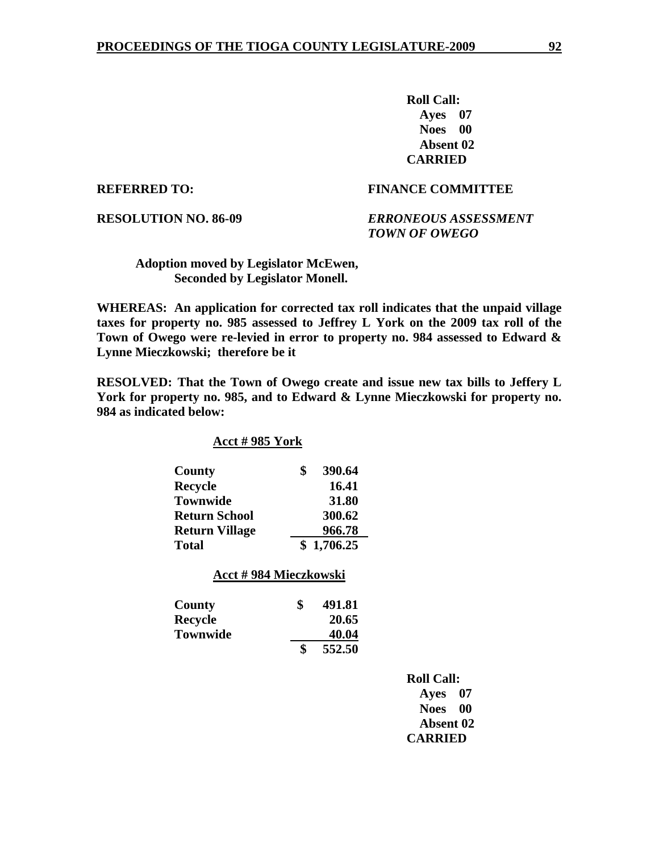**Roll Call: Ayes 07 Noes 00 Absent 02 CARRIED** 

## **REFERRED TO: FINANCE COMMITTEE**

**RESOLUTION NO. 86-09** *ERRONEOUS ASSESSMENT TOWN OF OWEGO* 

 **Adoption moved by Legislator McEwen, Seconded by Legislator Monell.** 

**WHEREAS: An application for corrected tax roll indicates that the unpaid village taxes for property no. 985 assessed to Jeffrey L York on the 2009 tax roll of the Town of Owego were re-levied in error to property no. 984 assessed to Edward & Lynne Mieczkowski; therefore be it** 

**RESOLVED: That the Town of Owego create and issue new tax bills to Jeffery L York for property no. 985, and to Edward & Lynne Mieczkowski for property no. 984 as indicated below:** 

 **Acct # 985 York** 

| <b>County</b>         | 390.64     |
|-----------------------|------------|
| <b>Recycle</b>        | 16.41      |
| <b>Townwide</b>       | 31.80      |
| <b>Return School</b>  | 300.62     |
| <b>Return Village</b> | 966.78     |
| <b>Total</b>          | \$1,706.25 |

 **Acct # 984 Mieczkowski**

| County          | 491.81 |
|-----------------|--------|
| <b>Recycle</b>  | 20.65  |
| <b>Townwide</b> | 40.04  |
|                 | 552.50 |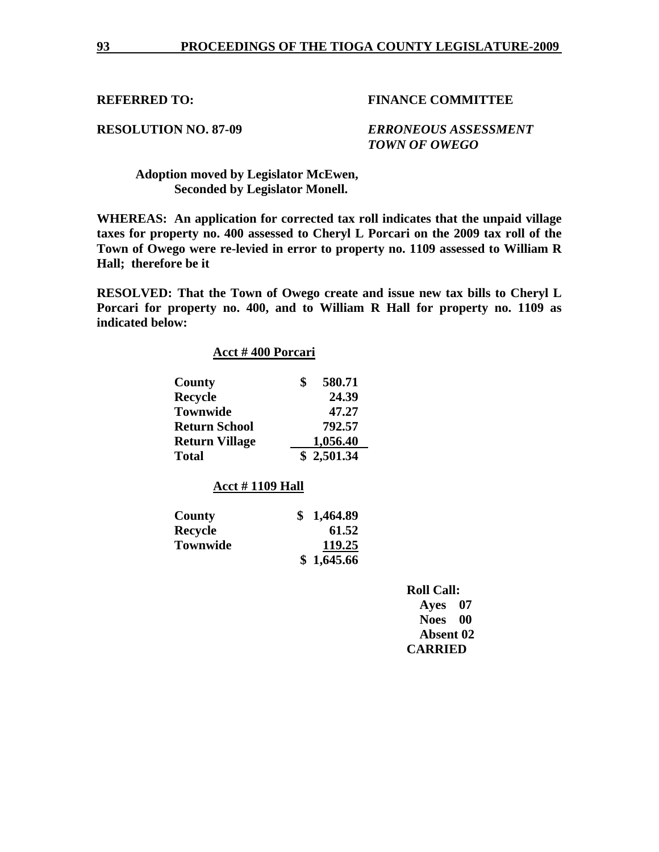# **RESOLUTION NO. 87-09** *ERRONEOUS ASSESSMENT TOWN OF OWEGO*

 **Adoption moved by Legislator McEwen, Seconded by Legislator Monell.** 

**WHEREAS: An application for corrected tax roll indicates that the unpaid village taxes for property no. 400 assessed to Cheryl L Porcari on the 2009 tax roll of the Town of Owego were re-levied in error to property no. 1109 assessed to William R Hall; therefore be it** 

**RESOLVED: That the Town of Owego create and issue new tax bills to Cheryl L Porcari for property no. 400, and to William R Hall for property no. 1109 as indicated below:** 

| Acct #400 Porcari      |                |
|------------------------|----------------|
| County                 | \$<br>580.71   |
| <b>Recycle</b>         | 24.39          |
| <b>Townwide</b>        | 47.27          |
| <b>Return School</b>   | 792.57         |
| <b>Return Village</b>  | 1,056.40       |
| Total                  | \$2,501.34     |
| <b>Acct #1109 Hall</b> |                |
| County                 | \$<br>1,464.89 |
| <b>Recycle</b>         | 61.52          |
|                        |                |

| $\mathbf{r}$    | $v \cdot v$ |
|-----------------|-------------|
| <b>Townwide</b> | 119.25      |
|                 | \$1,645.66  |

| <b>Roll Call:</b>   |
|---------------------|
| Ayes 07             |
| <b>Noes</b><br>- 00 |
| <b>Absent 02</b>    |
| <b>CARRIED</b>      |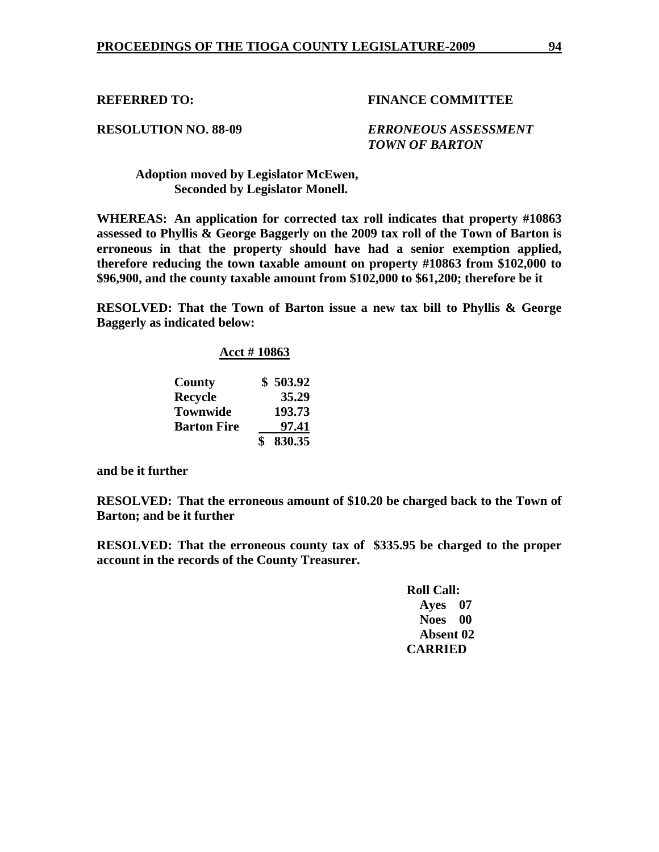**RESOLUTION NO. 88-09** *ERRONEOUS ASSESSMENT TOWN OF BARTON* 

 **Adoption moved by Legislator McEwen, Seconded by Legislator Monell.** 

**WHEREAS: An application for corrected tax roll indicates that property #10863 assessed to Phyllis & George Baggerly on the 2009 tax roll of the Town of Barton is erroneous in that the property should have had a senior exemption applied, therefore reducing the town taxable amount on property #10863 from \$102,000 to \$96,900, and the county taxable amount from \$102,000 to \$61,200; therefore be it** 

**RESOLVED: That the Town of Barton issue a new tax bill to Phyllis & George Baggerly as indicated below:** 

## **Acct # 10863**

| County             | \$503.92 |
|--------------------|----------|
| <b>Recycle</b>     | 35.29    |
| <b>Townwide</b>    | 193.73   |
| <b>Barton Fire</b> | 97.41    |
|                    | 830.35   |

**and be it further** 

**RESOLVED: That the erroneous amount of \$10.20 be charged back to the Town of Barton; and be it further** 

**RESOLVED: That the erroneous county tax of \$335.95 be charged to the proper account in the records of the County Treasurer.** 

| <b>Roll Call:</b> |      |
|-------------------|------|
| Ayes 07           |      |
| <b>Noes</b>       | - 00 |
| <b>Absent 02</b>  |      |
| <b>CARRIED</b>    |      |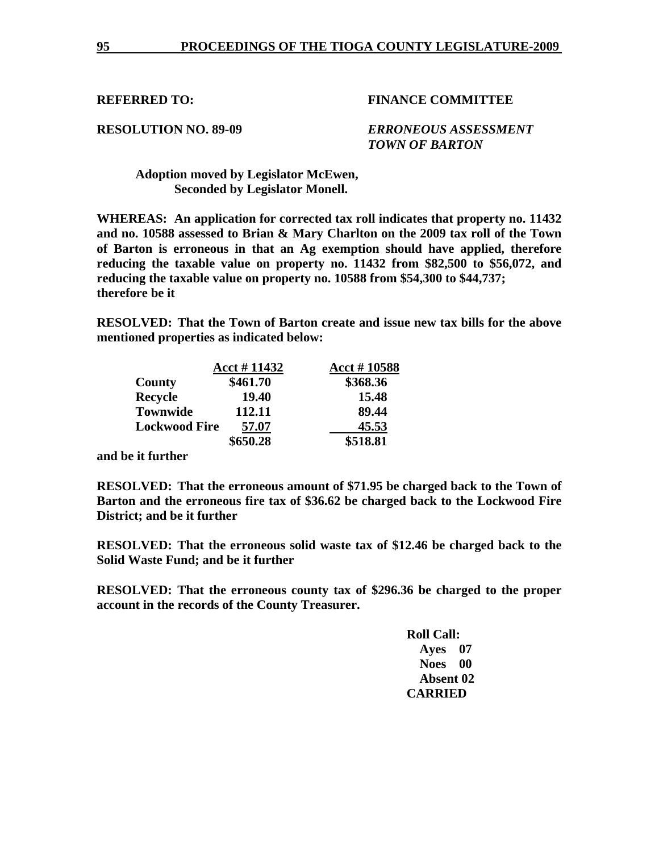**RESOLUTION NO. 89-09** *ERRONEOUS ASSESSMENT TOWN OF BARTON*

 **Adoption moved by Legislator McEwen, Seconded by Legislator Monell.** 

**WHEREAS: An application for corrected tax roll indicates that property no. 11432 and no. 10588 assessed to Brian & Mary Charlton on the 2009 tax roll of the Town of Barton is erroneous in that an Ag exemption should have applied, therefore reducing the taxable value on property no. 11432 from \$82,500 to \$56,072, and reducing the taxable value on property no. 10588 from \$54,300 to \$44,737; therefore be it** 

**RESOLVED: That the Town of Barton create and issue new tax bills for the above mentioned properties as indicated below:** 

|                      | Acct #11432 | Acct #10588 |
|----------------------|-------------|-------------|
| County               | \$461.70    | \$368.36    |
| <b>Recycle</b>       | 19.40       | 15.48       |
| <b>Townwide</b>      | 112.11      | 89.44       |
| <b>Lockwood Fire</b> | 57.07       | 45.53       |
|                      | \$650.28    | \$518.81    |

**and be it further** 

**RESOLVED: That the erroneous amount of \$71.95 be charged back to the Town of Barton and the erroneous fire tax of \$36.62 be charged back to the Lockwood Fire District; and be it further** 

**RESOLVED: That the erroneous solid waste tax of \$12.46 be charged back to the Solid Waste Fund; and be it further** 

**RESOLVED: That the erroneous county tax of \$296.36 be charged to the proper account in the records of the County Treasurer.**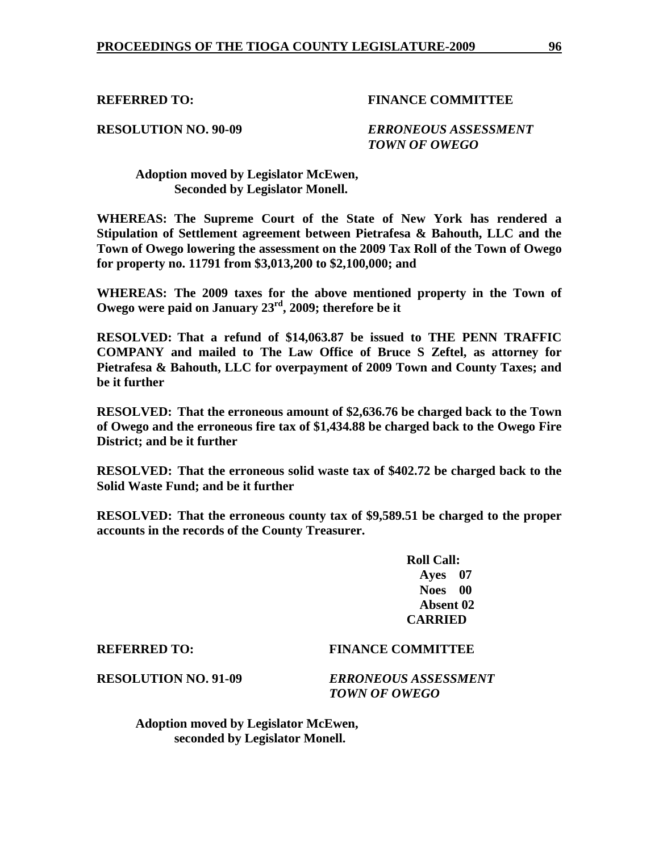**RESOLUTION NO. 90-09** *ERRONEOUS ASSESSMENT TOWN OF OWEGO* 

 **Adoption moved by Legislator McEwen, Seconded by Legislator Monell.** 

**WHEREAS: The Supreme Court of the State of New York has rendered a Stipulation of Settlement agreement between Pietrafesa & Bahouth, LLC and the Town of Owego lowering the assessment on the 2009 Tax Roll of the Town of Owego for property no. 11791 from \$3,013,200 to \$2,100,000; and** 

**WHEREAS: The 2009 taxes for the above mentioned property in the Town of Owego were paid on January 23rd, 2009; therefore be it** 

**RESOLVED: That a refund of \$14,063.87 be issued to THE PENN TRAFFIC COMPANY and mailed to The Law Office of Bruce S Zeftel, as attorney for Pietrafesa & Bahouth, LLC for overpayment of 2009 Town and County Taxes; and be it further** 

**RESOLVED: That the erroneous amount of \$2,636.76 be charged back to the Town of Owego and the erroneous fire tax of \$1,434.88 be charged back to the Owego Fire District; and be it further** 

**RESOLVED: That the erroneous solid waste tax of \$402.72 be charged back to the Solid Waste Fund; and be it further** 

**RESOLVED: That the erroneous county tax of \$9,589.51 be charged to the proper accounts in the records of the County Treasurer.** 

> **Roll Call: Ayes 07 Noes 00 Absent 02 CARRIED**

# **REFERRED TO: FINANCE COMMITTEE**

**RESOLUTION NO. 91-09** *ERRONEOUS ASSESSMENT TOWN OF OWEGO* 

 **Adoption moved by Legislator McEwen, seconded by Legislator Monell.**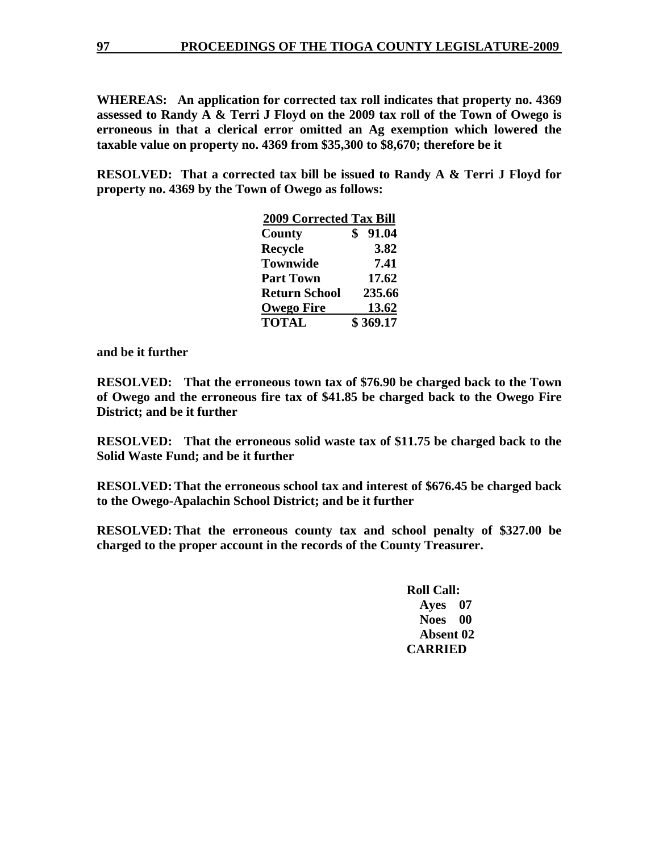**WHEREAS: An application for corrected tax roll indicates that property no. 4369 assessed to Randy A & Terri J Floyd on the 2009 tax roll of the Town of Owego is erroneous in that a clerical error omitted an Ag exemption which lowered the taxable value on property no. 4369 from \$35,300 to \$8,670; therefore be it** 

**RESOLVED: That a corrected tax bill be issued to Randy A & Terri J Floyd for property no. 4369 by the Town of Owego as follows:** 

|                      | <b>2009 Corrected Tax Bill</b> |          |
|----------------------|--------------------------------|----------|
| County               |                                | 91.04    |
| <b>Recycle</b>       |                                | 3.82     |
| <b>Townwide</b>      |                                | 7.41     |
| <b>Part Town</b>     |                                | 17.62    |
| <b>Return School</b> |                                | 235.66   |
| <b>Owego Fire</b>    |                                | 13.62    |
| <b>TOTAL</b>         |                                | \$369.17 |

**and be it further** 

**RESOLVED: That the erroneous town tax of \$76.90 be charged back to the Town of Owego and the erroneous fire tax of \$41.85 be charged back to the Owego Fire District; and be it further** 

**RESOLVED: That the erroneous solid waste tax of \$11.75 be charged back to the Solid Waste Fund; and be it further** 

**RESOLVED: That the erroneous school tax and interest of \$676.45 be charged back to the Owego-Apalachin School District; and be it further** 

**RESOLVED: That the erroneous county tax and school penalty of \$327.00 be charged to the proper account in the records of the County Treasurer.**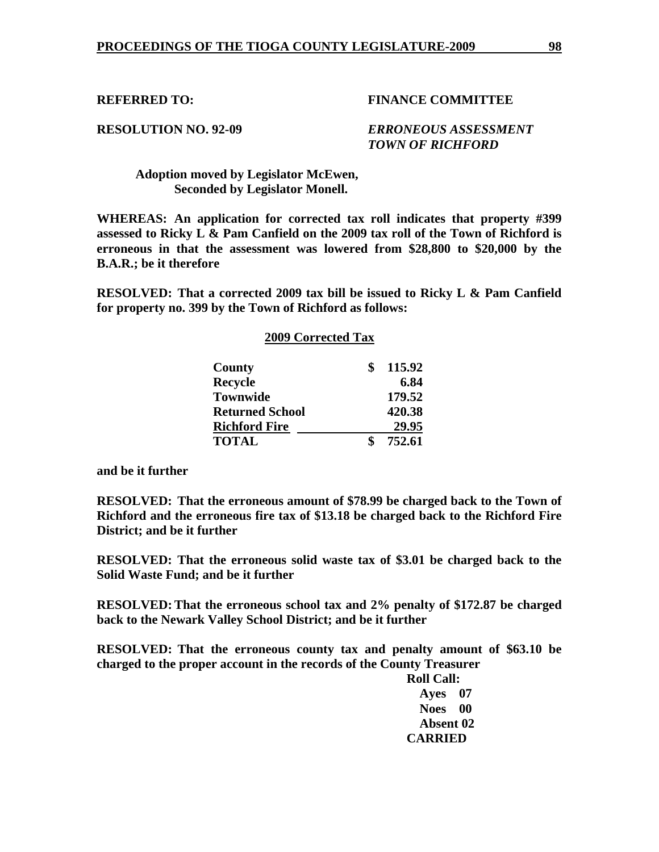**RESOLUTION NO. 92-09** *ERRONEOUS ASSESSMENT TOWN OF RICHFORD* 

 **Adoption moved by Legislator McEwen, Seconded by Legislator Monell.** 

**WHEREAS: An application for corrected tax roll indicates that property #399 assessed to Ricky L & Pam Canfield on the 2009 tax roll of the Town of Richford is erroneous in that the assessment was lowered from \$28,800 to \$20,000 by the B.A.R.; be it therefore** 

**RESOLVED: That a corrected 2009 tax bill be issued to Ricky L & Pam Canfield for property no. 399 by the Town of Richford as follows:** 

# **2009 Corrected Tax**

| County                 | 115.92 |
|------------------------|--------|
| <b>Recycle</b>         | 6.84   |
| <b>Townwide</b>        | 179.52 |
| <b>Returned School</b> | 420.38 |
| <b>Richford Fire</b>   | 29.95  |
| <b>TOTAL</b>           | 752.61 |

**and be it further** 

**RESOLVED: That the erroneous amount of \$78.99 be charged back to the Town of Richford and the erroneous fire tax of \$13.18 be charged back to the Richford Fire District; and be it further** 

**RESOLVED: That the erroneous solid waste tax of \$3.01 be charged back to the Solid Waste Fund; and be it further** 

**RESOLVED: That the erroneous school tax and 2% penalty of \$172.87 be charged back to the Newark Valley School District; and be it further** 

**RESOLVED: That the erroneous county tax and penalty amount of \$63.10 be charged to the proper account in the records of the County Treasurer**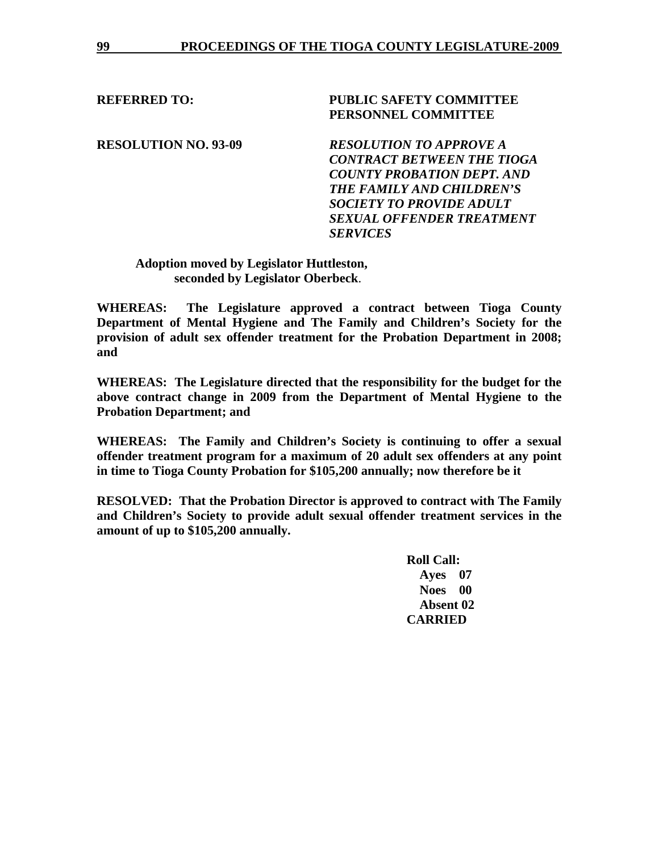# **REFERRED TO: PUBLIC SAFETY COMMITTEE PERSONNEL COMMITTEE**

**RESOLUTION NO. 93-09** *RESOLUTION TO APPROVE A CONTRACT BETWEEN THE TIOGA COUNTY PROBATION DEPT. AND THE FAMILY AND CHILDREN'S SOCIETY TO PROVIDE ADULT SEXUAL OFFENDER TREATMENT SERVICES* 

## **Adoption moved by Legislator Huttleston, seconded by Legislator Oberbeck**.

**WHEREAS: The Legislature approved a contract between Tioga County Department of Mental Hygiene and The Family and Children's Society for the provision of adult sex offender treatment for the Probation Department in 2008; and** 

**WHEREAS: The Legislature directed that the responsibility for the budget for the above contract change in 2009 from the Department of Mental Hygiene to the Probation Department; and** 

**WHEREAS: The Family and Children's Society is continuing to offer a sexual offender treatment program for a maximum of 20 adult sex offenders at any point in time to Tioga County Probation for \$105,200 annually; now therefore be it** 

**RESOLVED: That the Probation Director is approved to contract with The Family and Children's Society to provide adult sexual offender treatment services in the amount of up to \$105,200 annually.**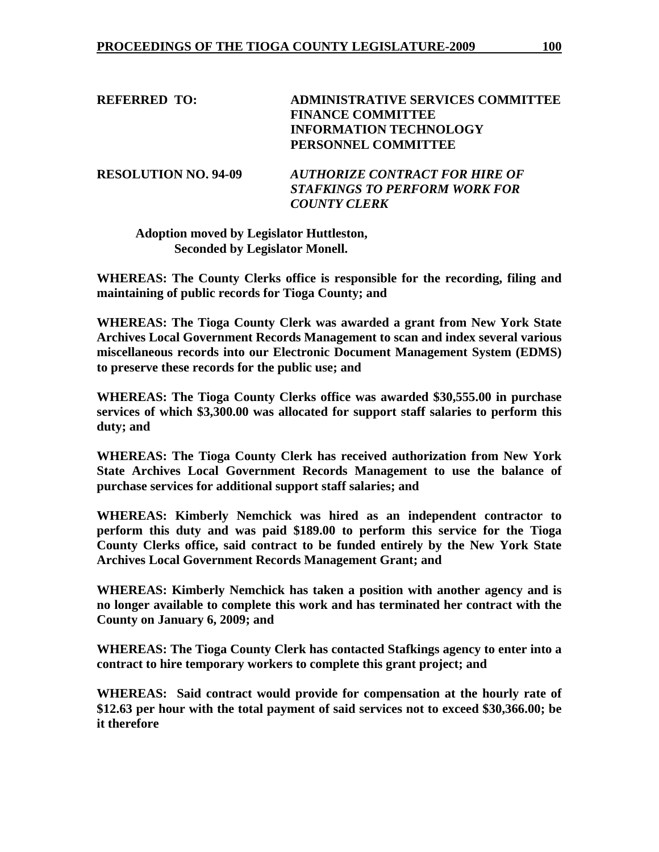**REFERRED TO: ADMINISTRATIVE SERVICES COMMITTEE FINANCE COMMITTEE INFORMATION TECHNOLOGY PERSONNEL COMMITTEE** 

**RESOLUTION NO. 94-09** *AUTHORIZE CONTRACT FOR HIRE OF STAFKINGS TO PERFORM WORK FOR COUNTY CLERK* 

**Adoption moved by Legislator Huttleston, Seconded by Legislator Monell.** 

**WHEREAS: The County Clerks office is responsible for the recording, filing and maintaining of public records for Tioga County; and** 

**WHEREAS: The Tioga County Clerk was awarded a grant from New York State Archives Local Government Records Management to scan and index several various miscellaneous records into our Electronic Document Management System (EDMS) to preserve these records for the public use; and** 

**WHEREAS: The Tioga County Clerks office was awarded \$30,555.00 in purchase services of which \$3,300.00 was allocated for support staff salaries to perform this duty; and** 

**WHEREAS: The Tioga County Clerk has received authorization from New York State Archives Local Government Records Management to use the balance of purchase services for additional support staff salaries; and** 

**WHEREAS: Kimberly Nemchick was hired as an independent contractor to perform this duty and was paid \$189.00 to perform this service for the Tioga County Clerks office, said contract to be funded entirely by the New York State Archives Local Government Records Management Grant; and** 

**WHEREAS: Kimberly Nemchick has taken a position with another agency and is no longer available to complete this work and has terminated her contract with the County on January 6, 2009; and** 

**WHEREAS: The Tioga County Clerk has contacted Stafkings agency to enter into a contract to hire temporary workers to complete this grant project; and** 

**WHEREAS: Said contract would provide for compensation at the hourly rate of \$12.63 per hour with the total payment of said services not to exceed \$30,366.00; be it therefore**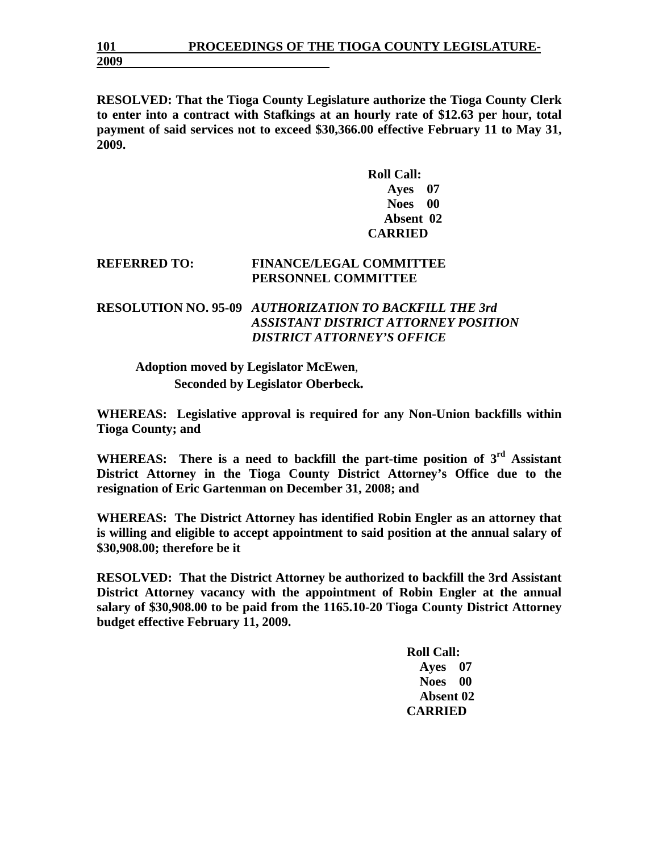**RESOLVED: That the Tioga County Legislature authorize the Tioga County Clerk to enter into a contract with Stafkings at an hourly rate of \$12.63 per hour, total payment of said services not to exceed \$30,366.00 effective February 11 to May 31, 2009.** 

> **Roll Call: Ayes 07 Noes 00 Absent 02 CARRIED**

## **REFERRED TO: FINANCE/LEGAL COMMITTEE PERSONNEL COMMITTEE**

# **RESOLUTION NO. 95-09** *AUTHORIZATION TO BACKFILL THE 3rd ASSISTANT DISTRICT ATTORNEY POSITION DISTRICT ATTORNEY'S OFFICE*

**Adoption moved by Legislator McEwen**, **Seconded by Legislator Oberbeck***.* 

**WHEREAS: Legislative approval is required for any Non-Union backfills within Tioga County; and** 

WHEREAS: There is a need to backfill the part-time position of 3<sup>rd</sup> Assistant **District Attorney in the Tioga County District Attorney's Office due to the resignation of Eric Gartenman on December 31, 2008; and** 

**WHEREAS: The District Attorney has identified Robin Engler as an attorney that is willing and eligible to accept appointment to said position at the annual salary of \$30,908.00; therefore be it** 

**RESOLVED: That the District Attorney be authorized to backfill the 3rd Assistant District Attorney vacancy with the appointment of Robin Engler at the annual salary of \$30,908.00 to be paid from the 1165.10-20 Tioga County District Attorney budget effective February 11, 2009.**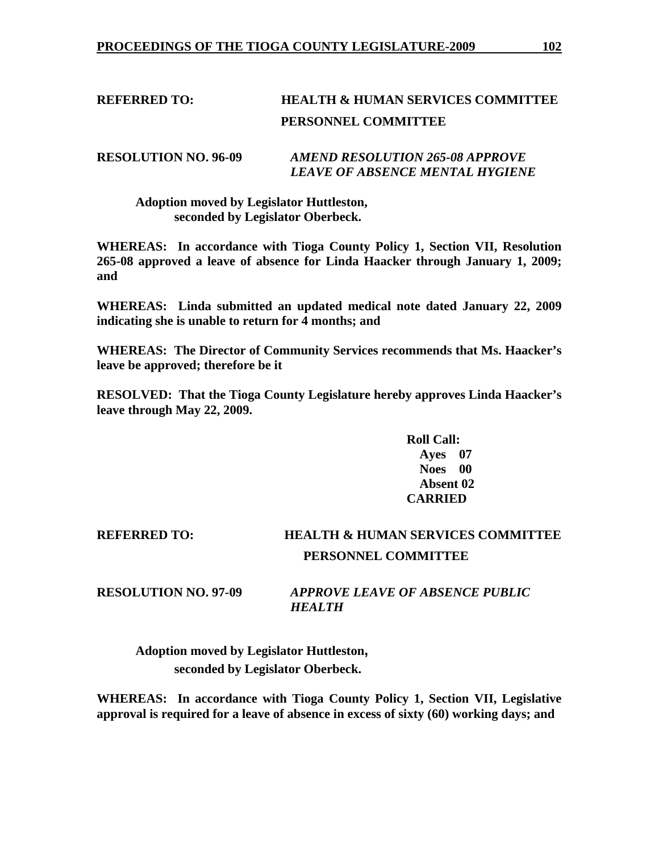# **REFERRED TO: HEALTH & HUMAN SERVICES COMMITTEE PERSONNEL COMMITTEE**

# **RESOLUTION NO. 96-09** *AMEND RESOLUTION 265-08 APPROVE LEAVE OF ABSENCE MENTAL HYGIENE*

## **Adoption moved by Legislator Huttleston, seconded by Legislator Oberbeck.**

**WHEREAS: In accordance with Tioga County Policy 1, Section VII, Resolution 265-08 approved a leave of absence for Linda Haacker through January 1, 2009; and** 

**WHEREAS: Linda submitted an updated medical note dated January 22, 2009 indicating she is unable to return for 4 months; and** 

**WHEREAS: The Director of Community Services recommends that Ms. Haacker's leave be approved; therefore be it** 

**RESOLVED: That the Tioga County Legislature hereby approves Linda Haacker's leave through May 22, 2009.** 

> **Roll Call: Ayes 07 Noes 00 Absent 02 CARRIED**

# **REFERRED TO: HEALTH & HUMAN SERVICES COMMITTEE PERSONNEL COMMITTEE**

**RESOLUTION NO. 97-09** *APPROVE LEAVE OF ABSENCE PUBLIC HEALTH* 

**Adoption moved by Legislator Huttleston, seconded by Legislator Oberbeck.** 

**WHEREAS: In accordance with Tioga County Policy 1, Section VII, Legislative approval is required for a leave of absence in excess of sixty (60) working days; and**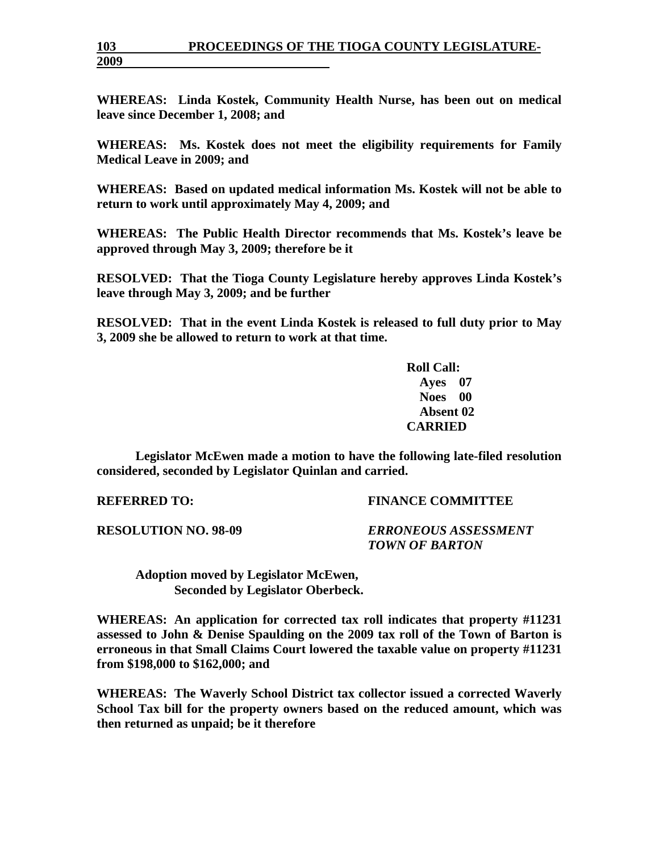# **103 PROCEEDINGS OF THE TIOGA COUNTY LEGISLATURE-**

**WHEREAS: Linda Kostek, Community Health Nurse, has been out on medical leave since December 1, 2008; and** 

**WHEREAS: Ms. Kostek does not meet the eligibility requirements for Family Medical Leave in 2009; and** 

**WHEREAS: Based on updated medical information Ms. Kostek will not be able to return to work until approximately May 4, 2009; and** 

**WHEREAS: The Public Health Director recommends that Ms. Kostek's leave be approved through May 3, 2009; therefore be it** 

**RESOLVED: That the Tioga County Legislature hereby approves Linda Kostek's leave through May 3, 2009; and be further** 

**RESOLVED: That in the event Linda Kostek is released to full duty prior to May 3, 2009 she be allowed to return to work at that time.** 

> **Roll Call: Ayes 07 Noes 00 Absent 02 CARRIED**

**Legislator McEwen made a motion to have the following late-filed resolution considered, seconded by Legislator Quinlan and carried.** 

**REFERRED TO: FINANCE COMMITTEE** 

**RESOLUTION NO. 98-09** *ERRONEOUS ASSESSMENT TOWN OF BARTON* 

 **Adoption moved by Legislator McEwen, Seconded by Legislator Oberbeck.** 

**WHEREAS: An application for corrected tax roll indicates that property #11231 assessed to John & Denise Spaulding on the 2009 tax roll of the Town of Barton is erroneous in that Small Claims Court lowered the taxable value on property #11231 from \$198,000 to \$162,000; and** 

**WHEREAS: The Waverly School District tax collector issued a corrected Waverly School Tax bill for the property owners based on the reduced amount, which was then returned as unpaid; be it therefore** 

**2009**